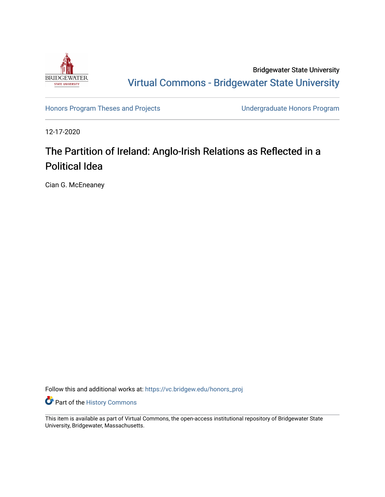

Bridgewater State University [Virtual Commons - Bridgewater State University](https://vc.bridgew.edu/) 

[Honors Program Theses and Projects](https://vc.bridgew.edu/honors_proj) [Undergraduate Honors Program](https://vc.bridgew.edu/honors) 

12-17-2020

## The Partition of Ireland: Anglo-Irish Relations as Reflected in a Political Idea

Cian G. McEneaney

Follow this and additional works at: [https://vc.bridgew.edu/honors\\_proj](https://vc.bridgew.edu/honors_proj?utm_source=vc.bridgew.edu%2Fhonors_proj%2F431&utm_medium=PDF&utm_campaign=PDFCoverPages)

**Part of the History Commons** 

This item is available as part of Virtual Commons, the open-access institutional repository of Bridgewater State University, Bridgewater, Massachusetts.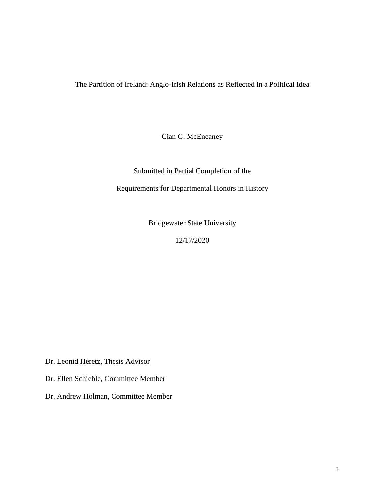The Partition of Ireland: Anglo-Irish Relations as Reflected in a Political Idea

Cian G. McEneaney

Submitted in Partial Completion of the Requirements for Departmental Honors in History

Bridgewater State University

12/17/2020

Dr. Leonid Heretz, Thesis Advisor

Dr. Ellen Schieble, Committee Member

Dr. Andrew Holman, Committee Member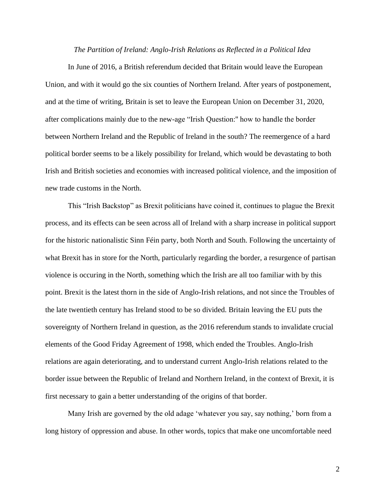## *The Partition of Ireland: Anglo-Irish Relations as Reflected in a Political Idea*

In June of 2016, a British referendum decided that Britain would leave the European Union, and with it would go the six counties of Northern Ireland. After years of postponement, and at the time of writing, Britain is set to leave the European Union on December 31, 2020, after complications mainly due to the new-age "Irish Question:'' how to handle the border between Northern Ireland and the Republic of Ireland in the south? The reemergence of a hard political border seems to be a likely possibility for Ireland, which would be devastating to both Irish and British societies and economies with increased political violence, and the imposition of new trade customs in the North.

This "Irish Backstop" as Brexit politicians have coined it, continues to plague the Brexit process, and its effects can be seen across all of Ireland with a sharp increase in political support for the historic nationalistic Sinn Féin party, both North and South. Following the uncertainty of what Brexit has in store for the North, particularly regarding the border, a resurgence of partisan violence is occuring in the North, something which the Irish are all too familiar with by this point. Brexit is the latest thorn in the side of Anglo-Irish relations, and not since the Troubles of the late twentieth century has Ireland stood to be so divided. Britain leaving the EU puts the sovereignty of Northern Ireland in question, as the 2016 referendum stands to invalidate crucial elements of the Good Friday Agreement of 1998, which ended the Troubles. Anglo-Irish relations are again deteriorating, and to understand current Anglo-Irish relations related to the border issue between the Republic of Ireland and Northern Ireland, in the context of Brexit, it is first necessary to gain a better understanding of the origins of that border.

Many Irish are governed by the old adage 'whatever you say, say nothing,' born from a long history of oppression and abuse. In other words, topics that make one uncomfortable need

2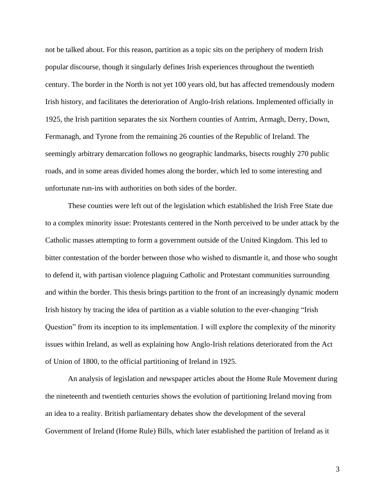not be talked about. For this reason, partition as a topic sits on the periphery of modern Irish popular discourse, though it singularly defines Irish experiences throughout the twentieth century. The border in the North is not yet 100 years old, but has affected tremendously modern Irish history, and facilitates the deterioration of Anglo-Irish relations. Implemented officially in 1925, the Irish partition separates the six Northern counties of Antrim, Armagh, Derry, Down, Fermanagh, and Tyrone from the remaining 26 counties of the Republic of Ireland. The seemingly arbitrary demarcation follows no geographic landmarks, bisects roughly 270 public roads, and in some areas divided homes along the border, which led to some interesting and unfortunate run-ins with authorities on both sides of the border.

These counties were left out of the legislation which established the Irish Free State due to a complex minority issue: Protestants centered in the North perceived to be under attack by the Catholic masses attempting to form a government outside of the United Kingdom. This led to bitter contestation of the border between those who wished to dismantle it, and those who sought to defend it, with partisan violence plaguing Catholic and Protestant communities surrounding and within the border. This thesis brings partition to the front of an increasingly dynamic modern Irish history by tracing the idea of partition as a viable solution to the ever-changing "Irish Question" from its inception to its implementation. I will explore the complexity of the minority issues within Ireland, as well as explaining how Anglo-Irish relations deteriorated from the Act of Union of 1800, to the official partitioning of Ireland in 1925.

An analysis of legislation and newspaper articles about the Home Rule Movement during the nineteenth and twentieth centuries shows the evolution of partitioning Ireland moving from an idea to a reality. British parliamentary debates show the development of the several Government of Ireland (Home Rule) Bills, which later established the partition of Ireland as it

3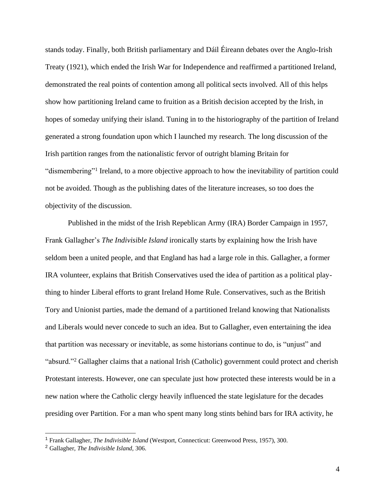stands today. Finally, both British parliamentary and Dáil Éireann debates over the Anglo-Irish Treaty (1921), which ended the Irish War for Independence and reaffirmed a partitioned Ireland, demonstrated the real points of contention among all political sects involved. All of this helps show how partitioning Ireland came to fruition as a British decision accepted by the Irish, in hopes of someday unifying their island. Tuning in to the historiography of the partition of Ireland generated a strong foundation upon which I launched my research. The long discussion of the Irish partition ranges from the nationalistic fervor of outright blaming Britain for "dismembering"<sup>1</sup> Ireland, to a more objective approach to how the inevitability of partition could not be avoided. Though as the publishing dates of the literature increases, so too does the objectivity of the discussion.

Published in the midst of the Irish Repeblican Army (IRA) Border Campaign in 1957, Frank Gallagher's *The Indivisible Island* ironically starts by explaining how the Irish have seldom been a united people, and that England has had a large role in this. Gallagher, a former IRA volunteer, explains that British Conservatives used the idea of partition as a political plaything to hinder Liberal efforts to grant Ireland Home Rule. Conservatives, such as the British Tory and Unionist parties, made the demand of a partitioned Ireland knowing that Nationalists and Liberals would never concede to such an idea. But to Gallagher, even entertaining the idea that partition was necessary or inevitable, as some historians continue to do, is "unjust" and "absurd."<sup>2</sup> Gallagher claims that a national Irish (Catholic) government could protect and cherish Protestant interests. However, one can speculate just how protected these interests would be in a new nation where the Catholic clergy heavily influenced the state legislature for the decades presiding over Partition. For a man who spent many long stints behind bars for IRA activity, he

<sup>1</sup> Frank Gallagher, *The Indivisible Island* (Westport, Connecticut: Greenwood Press, 1957), 300.

<sup>2</sup> Gallagher, *The Indivisible Island,* 306.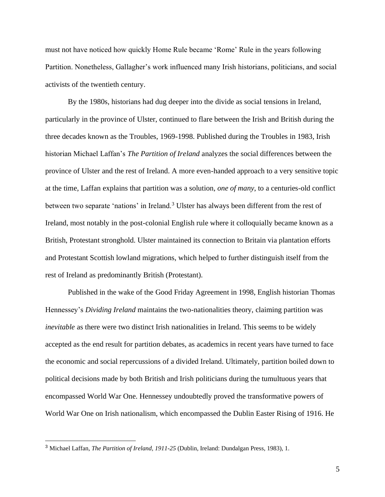must not have noticed how quickly Home Rule became 'Rome' Rule in the years following Partition. Nonetheless, Gallagher's work influenced many Irish historians, politicians, and social activists of the twentieth century.

By the 1980s, historians had dug deeper into the divide as social tensions in Ireland, particularly in the province of Ulster, continued to flare between the Irish and British during the three decades known as the Troubles, 1969-1998. Published during the Troubles in 1983, Irish historian Michael Laffan's *The Partition of Ireland* analyzes the social differences between the province of Ulster and the rest of Ireland. A more even-handed approach to a very sensitive topic at the time, Laffan explains that partition was a solution, *one of many*, to a centuries-old conflict between two separate 'nations' in Ireland.<sup>3</sup> Ulster has always been different from the rest of Ireland, most notably in the post-colonial English rule where it colloquially became known as a British, Protestant stronghold. Ulster maintained its connection to Britain via plantation efforts and Protestant Scottish lowland migrations, which helped to further distinguish itself from the rest of Ireland as predominantly British (Protestant).

Published in the wake of the Good Friday Agreement in 1998, English historian Thomas Hennessey's *Dividing Ireland* maintains the two-nationalities theory, claiming partition was *inevitable* as there were two distinct Irish nationalities in Ireland. This seems to be widely accepted as the end result for partition debates, as academics in recent years have turned to face the economic and social repercussions of a divided Ireland. Ultimately, partition boiled down to political decisions made by both British and Irish politicians during the tumultuous years that encompassed World War One. Hennessey undoubtedly proved the transformative powers of World War One on Irish nationalism, which encompassed the Dublin Easter Rising of 1916. He

<sup>3</sup> Michael Laffan, *The Partition of Ireland, 1911-25* (Dublin, Ireland: Dundalgan Press, 1983), 1.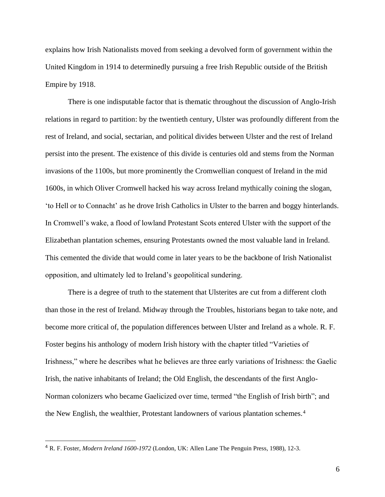explains how Irish Nationalists moved from seeking a devolved form of government within the United Kingdom in 1914 to determinedly pursuing a free Irish Republic outside of the British Empire by 1918.

There is one indisputable factor that is thematic throughout the discussion of Anglo-Irish relations in regard to partition: by the twentieth century, Ulster was profoundly different from the rest of Ireland, and social, sectarian, and political divides between Ulster and the rest of Ireland persist into the present. The existence of this divide is centuries old and stems from the Norman invasions of the 1100s, but more prominently the Cromwellian conquest of Ireland in the mid 1600s, in which Oliver Cromwell hacked his way across Ireland mythically coining the slogan, 'to Hell or to Connacht' as he drove Irish Catholics in Ulster to the barren and boggy hinterlands. In Cromwell's wake, a flood of lowland Protestant Scots entered Ulster with the support of the Elizabethan plantation schemes, ensuring Protestants owned the most valuable land in Ireland. This cemented the divide that would come in later years to be the backbone of Irish Nationalist opposition, and ultimately led to Ireland's geopolitical sundering.

There is a degree of truth to the statement that Ulsterites are cut from a different cloth than those in the rest of Ireland. Midway through the Troubles, historians began to take note, and become more critical of, the population differences between Ulster and Ireland as a whole. R. F. Foster begins his anthology of modern Irish history with the chapter titled "Varieties of Irishness," where he describes what he believes are three early variations of Irishness: the Gaelic Irish, the native inhabitants of Ireland; the Old English, the descendants of the first Anglo-Norman colonizers who became Gaelicized over time, termed "the English of Irish birth"; and the New English, the wealthier, Protestant landowners of various plantation schemes.<sup>4</sup>

<sup>4</sup> R. F. Foster, *Modern Ireland 1600-1972* (London, UK: Allen Lane The Penguin Press, 1988), 12-3.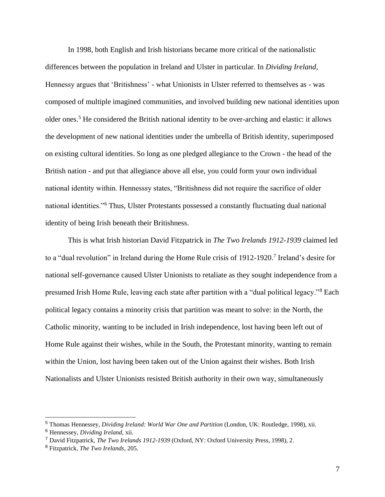In 1998, both English and Irish historians became more critical of the nationalistic differences between the population in Ireland and Ulster in particular. In *Dividing Ireland*, Hennessy argues that 'Britishness' - what Unionists in Ulster referred to themselves as - was composed of multiple imagined communities, and involved building new national identities upon older ones.<sup>5</sup> He considered the British national identity to be over-arching and elastic: it allows the development of new national identities under the umbrella of British identity, superimposed on existing cultural identities. So long as one pledged allegiance to the Crown - the head of the British nation - and put that allegiance above all else, you could form your own individual national identity within. Hennesssy states, "Britishness did not require the sacrifice of older national identities."<sup>6</sup> Thus, Ulster Protestants possessed a constantly fluctuating dual national identity of being Irish beneath their Britishness.

This is what Irish historian David Fitzpatrick in *The Two Irelands 1912-1939* claimed led to a "dual revolution" in Ireland during the Home Rule crisis of 1912-1920.<sup>7</sup> Ireland's desire for national self-governance caused Ulster Unionists to retaliate as they sought independence from a presumed Irish Home Rule, leaving each state after partition with a "dual political legacy."<sup>8</sup> Each political legacy contains a minority crisis that partition was meant to solve: in the North, the Catholic minority, wanting to be included in Irish independence, lost having been left out of Home Rule against their wishes, while in the South, the Protestant minority, wanting to remain within the Union, lost having been taken out of the Union against their wishes. Both Irish Nationalists and Ulster Unionists resisted British authority in their own way, simultaneously

<sup>5</sup> Thomas Hennessey, *Dividing Ireland: World War One and Partition* (London, UK: Routledge, 1998), xii.

<sup>6</sup> Hennessey, *Dividing Ireland,* xii.

<sup>7</sup> David Fitzpatrick, *The Two Irelands 1912-1939* (Oxford, NY: Oxford University Press, 1998), 2.

<sup>8</sup> Fitzpatrick, *The Two Irelands*, 205.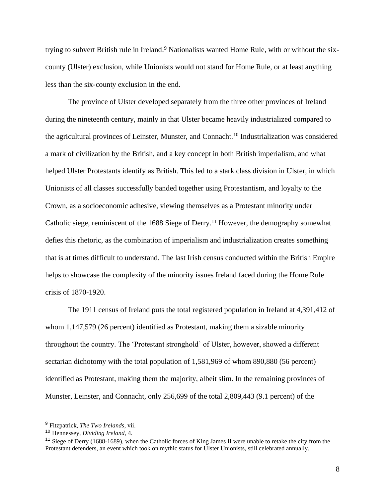trying to subvert British rule in Ireland. <sup>9</sup> Nationalists wanted Home Rule, with or without the sixcounty (Ulster) exclusion, while Unionists would not stand for Home Rule, or at least anything less than the six-county exclusion in the end.

The province of Ulster developed separately from the three other provinces of Ireland during the nineteenth century, mainly in that Ulster became heavily industrialized compared to the agricultural provinces of Leinster, Munster, and Connacht.<sup>10</sup> Industrialization was considered a mark of civilization by the British, and a key concept in both British imperialism, and what helped Ulster Protestants identify as British. This led to a stark class division in Ulster, in which Unionists of all classes successfully banded together using Protestantism, and loyalty to the Crown, as a socioeconomic adhesive, viewing themselves as a Protestant minority under Catholic siege, reminiscent of the 1688 Siege of Derry.<sup>11</sup> However, the demography somewhat defies this rhetoric, as the combination of imperialism and industrialization creates something that is at times difficult to understand. The last Irish census conducted within the British Empire helps to showcase the complexity of the minority issues Ireland faced during the Home Rule crisis of 1870-1920.

The 1911 census of Ireland puts the total registered population in Ireland at 4,391,412 of whom 1,147,579 (26 percent) identified as Protestant, making them a sizable minority throughout the country. The 'Protestant stronghold' of Ulster, however, showed a different sectarian dichotomy with the total population of 1,581,969 of whom 890,880 (56 percent) identified as Protestant, making them the majority, albeit slim. In the remaining provinces of Munster, Leinster, and Connacht, only 256,699 of the total 2,809,443 (9.1 percent) of the

<sup>9</sup> Fitzpatrick, *The Two Irelands*, vii.

<sup>10</sup> Hennessey, *Dividing Ireland,* 4.

<sup>&</sup>lt;sup>11</sup> Siege of Derry (1688-1689), when the Catholic forces of King James II were unable to retake the city from the Protestant defenders, an event which took on mythic status for Ulster Unionists, still celebrated annually.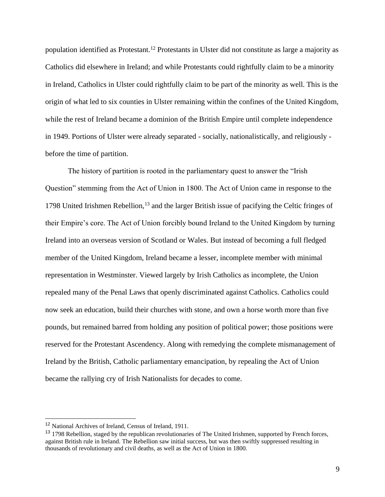population identified as Protestant.<sup>12</sup> Protestants in Ulster did not constitute as large a majority as Catholics did elsewhere in Ireland; and while Protestants could rightfully claim to be a minority in Ireland, Catholics in Ulster could rightfully claim to be part of the minority as well. This is the origin of what led to six counties in Ulster remaining within the confines of the United Kingdom, while the rest of Ireland became a dominion of the British Empire until complete independence in 1949. Portions of Ulster were already separated - socially, nationalistically, and religiously before the time of partition.

The history of partition is rooted in the parliamentary quest to answer the "Irish Question" stemming from the Act of Union in 1800. The Act of Union came in response to the 1798 United Irishmen Rebellion,<sup>13</sup> and the larger British issue of pacifying the Celtic fringes of their Empire's core. The Act of Union forcibly bound Ireland to the United Kingdom by turning Ireland into an overseas version of Scotland or Wales. But instead of becoming a full fledged member of the United Kingdom, Ireland became a lesser, incomplete member with minimal representation in Westminster. Viewed largely by Irish Catholics as incomplete, the Union repealed many of the Penal Laws that openly discriminated against Catholics. Catholics could now seek an education, build their churches with stone, and own a horse worth more than five pounds, but remained barred from holding any position of political power; those positions were reserved for the Protestant Ascendency. Along with remedying the complete mismanagement of Ireland by the British, Catholic parliamentary emancipation, by repealing the Act of Union became the rallying cry of Irish Nationalists for decades to come.

<sup>12</sup> National Archives of Ireland, Census of Ireland, 1911.

<sup>&</sup>lt;sup>13</sup> 1798 Rebellion, staged by the republican revolutionaries of The United Irishmen, supported by French forces, against British rule in Ireland. The Rebellion saw initial success, but was then swiftly suppressed resulting in thousands of revolutionary and civil deaths, as well as the Act of Union in 1800.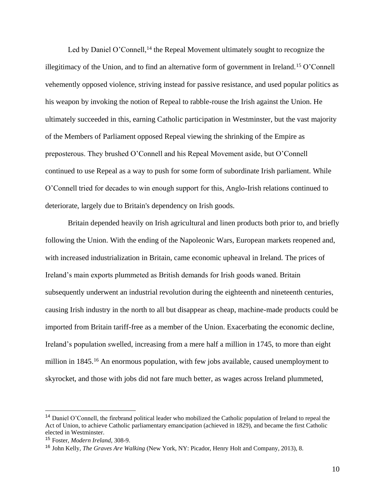Led by Daniel O'Connell,<sup>14</sup> the Repeal Movement ultimately sought to recognize the illegitimacy of the Union, and to find an alternative form of government in Ireland.<sup>15</sup> O'Connell vehemently opposed violence, striving instead for passive resistance, and used popular politics as his weapon by invoking the notion of Repeal to rabble-rouse the Irish against the Union. He ultimately succeeded in this, earning Catholic participation in Westminster, but the vast majority of the Members of Parliament opposed Repeal viewing the shrinking of the Empire as preposterous. They brushed O'Connell and his Repeal Movement aside, but O'Connell continued to use Repeal as a way to push for some form of subordinate Irish parliament. While O'Connell tried for decades to win enough support for this, Anglo-Irish relations continued to deteriorate, largely due to Britain's dependency on Irish goods.

Britain depended heavily on Irish agricultural and linen products both prior to, and briefly following the Union. With the ending of the Napoleonic Wars, European markets reopened and, with increased industrialization in Britain, came economic upheaval in Ireland. The prices of Ireland's main exports plummeted as British demands for Irish goods waned. Britain subsequently underwent an industrial revolution during the eighteenth and nineteenth centuries, causing Irish industry in the north to all but disappear as cheap, machine-made products could be imported from Britain tariff-free as a member of the Union. Exacerbating the economic decline, Ireland's population swelled, increasing from a mere half a million in 1745, to more than eight million in 1845.<sup>16</sup> An enormous population, with few jobs available, caused unemployment to skyrocket, and those with jobs did not fare much better, as wages across Ireland plummeted,

<sup>14</sup> Daniel O'Connell, the firebrand political leader who mobilized the Catholic population of Ireland to repeal the Act of Union, to achieve Catholic parliamentary emancipation (achieved in 1829), and became the first Catholic elected in Westminster.

<sup>15</sup> Foster, *Modern Ireland*, 308-9.

<sup>16</sup> John Kelly, *The Graves Are Walking* (New York, NY: Picador, Henry Holt and Company, 2013), 8.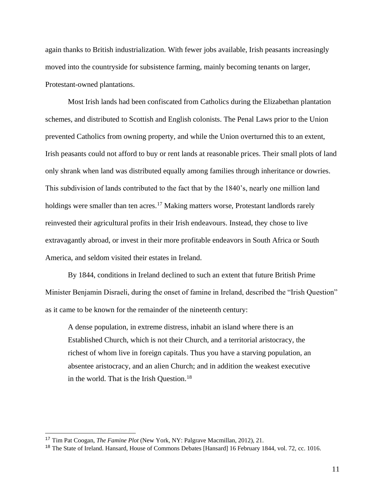again thanks to British industrialization. With fewer jobs available, Irish peasants increasingly moved into the countryside for subsistence farming, mainly becoming tenants on larger, Protestant-owned plantations.

Most Irish lands had been confiscated from Catholics during the Elizabethan plantation schemes, and distributed to Scottish and English colonists. The Penal Laws prior to the Union prevented Catholics from owning property, and while the Union overturned this to an extent, Irish peasants could not afford to buy or rent lands at reasonable prices. Their small plots of land only shrank when land was distributed equally among families through inheritance or dowries. This subdivision of lands contributed to the fact that by the 1840's, nearly one million land holdings were smaller than ten acres.<sup>17</sup> Making matters worse, Protestant landlords rarely reinvested their agricultural profits in their Irish endeavours. Instead, they chose to live extravagantly abroad, or invest in their more profitable endeavors in South Africa or South America, and seldom visited their estates in Ireland.

By 1844, conditions in Ireland declined to such an extent that future British Prime Minister Benjamin Disraeli, during the onset of famine in Ireland, described the "Irish Question" as it came to be known for the remainder of the nineteenth century:

A dense population, in extreme distress, inhabit an island where there is an Established Church, which is not their Church, and a territorial aristocracy, the richest of whom live in foreign capitals. Thus you have a starving population, an absentee aristocracy, and an alien Church; and in addition the weakest executive in the world. That is the Irish Question.<sup>18</sup>

<sup>17</sup> Tim Pat Coogan, *The Famine Plot* (New York, NY: Palgrave Macmillan, 2012), 21.

<sup>&</sup>lt;sup>18</sup> The State of Ireland. Hansard, House of Commons Debates [Hansard] 16 February 1844, vol. 72, cc. 1016.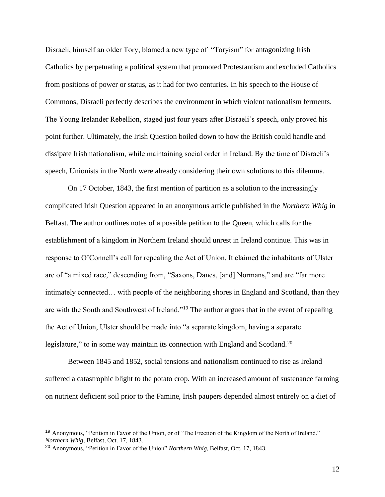Disraeli, himself an older Tory, blamed a new type of "Toryism" for antagonizing Irish Catholics by perpetuating a political system that promoted Protestantism and excluded Catholics from positions of power or status, as it had for two centuries. In his speech to the House of Commons, Disraeli perfectly describes the environment in which violent nationalism ferments. The Young Irelander Rebellion, staged just four years after Disraeli's speech, only proved his point further. Ultimately, the Irish Question boiled down to how the British could handle and dissipate Irish nationalism, while maintaining social order in Ireland. By the time of Disraeli's speech, Unionists in the North were already considering their own solutions to this dilemma.

On 17 October, 1843, the first mention of partition as a solution to the increasingly complicated Irish Question appeared in an anonymous article published in the *Northern Whig* in Belfast. The author outlines notes of a possible petition to the Queen, which calls for the establishment of a kingdom in Northern Ireland should unrest in Ireland continue. This was in response to O'Connell's call for repealing the Act of Union. It claimed the inhabitants of Ulster are of "a mixed race," descending from, "Saxons, Danes, [and] Normans," and are "far more intimately connected… with people of the neighboring shores in England and Scotland, than they are with the South and Southwest of Ireland."<sup>19</sup> The author argues that in the event of repealing the Act of Union, Ulster should be made into "a separate kingdom, having a separate legislature," to in some way maintain its connection with England and Scotland.<sup>20</sup>

Between 1845 and 1852, social tensions and nationalism continued to rise as Ireland suffered a catastrophic blight to the potato crop. With an increased amount of sustenance farming on nutrient deficient soil prior to the Famine, Irish paupers depended almost entirely on a diet of

12

<sup>19</sup> Anonymous, "Petition in Favor of the Union, or of 'The Erection of the Kingdom of the North of Ireland." *Northern Whig*, Belfast, Oct. 17, 1843.

<sup>20</sup> Anonymous, "Petition in Favor of the Union" *Northern Whig*, Belfast, Oct. 17, 1843.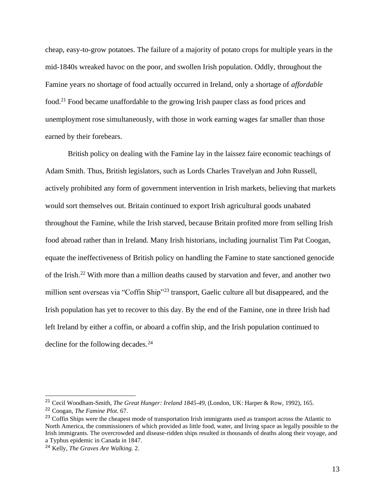cheap, easy-to-grow potatoes. The failure of a majority of potato crops for multiple years in the mid-1840s wreaked havoc on the poor, and swollen Irish population. Oddly, throughout the Famine years no shortage of food actually occurred in Ireland, only a shortage of *affordable* food.<sup>21</sup> Food became unaffordable to the growing Irish pauper class as food prices and unemployment rose simultaneously, with those in work earning wages far smaller than those earned by their forebears.

British policy on dealing with the Famine lay in the laissez faire economic teachings of Adam Smith. Thus, British legislators, such as Lords Charles Travelyan and John Russell, actively prohibited any form of government intervention in Irish markets, believing that markets would sort themselves out. Britain continued to export Irish agricultural goods unabated throughout the Famine, while the Irish starved, because Britain profited more from selling Irish food abroad rather than in Ireland. Many Irish historians, including journalist Tim Pat Coogan, equate the ineffectiveness of British policy on handling the Famine to state sanctioned genocide of the Irish.<sup>22</sup> With more than a million deaths caused by starvation and fever, and another two million sent overseas via "Coffin Ship"<sup>23</sup> transport, Gaelic culture all but disappeared, and the Irish population has yet to recover to this day. By the end of the Famine, one in three Irish had left Ireland by either a coffin, or aboard a coffin ship, and the Irish population continued to decline for the following decades.<sup>24</sup>

<sup>21</sup> Cecil Woodham-Smith, *The Great Hunger: Ireland 1845-49*, (London, UK: Harper & Row, 1992), 165.

<sup>22</sup> Coogan, *The Famine Plot*. 67.

<sup>&</sup>lt;sup>23</sup> Coffin Ships were the cheapest mode of transportation Irish immigrants used as transport across the Atlantic to North America, the commissioners of which provided as little food, water, and living space as legally possible to the Irish immigrants. The overcrowded and disease-ridden ships resulted in thousands of deaths along their voyage, and a Typhus epidemic in Canada in 1847.

<sup>24</sup> Kelly, *The Graves Are Walking.* 2.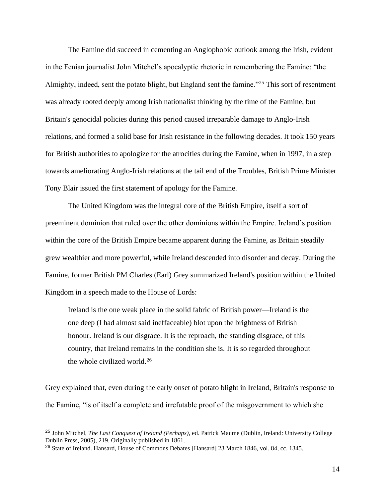The Famine did succeed in cementing an Anglophobic outlook among the Irish, evident in the Fenian journalist John Mitchel's apocalyptic rhetoric in remembering the Famine: "the Almighty, indeed, sent the potato blight, but England sent the famine."<sup>25</sup> This sort of resentment was already rooted deeply among Irish nationalist thinking by the time of the Famine, but Britain's genocidal policies during this period caused irreparable damage to Anglo-Irish relations, and formed a solid base for Irish resistance in the following decades. It took 150 years for British authorities to apologize for the atrocities during the Famine, when in 1997, in a step towards ameliorating Anglo-Irish relations at the tail end of the Troubles, British Prime Minister Tony Blair issued the first statement of apology for the Famine.

The United Kingdom was the integral core of the British Empire, itself a sort of preeminent dominion that ruled over the other dominions within the Empire. Ireland's position within the core of the British Empire became apparent during the Famine, as Britain steadily grew wealthier and more powerful, while Ireland descended into disorder and decay. During the Famine, former British PM Charles (Earl) Grey summarized Ireland's position within the United Kingdom in a speech made to the House of Lords:

Ireland is the one weak place in the solid fabric of British power—Ireland is the one deep (I had almost said ineffaceable) blot upon the brightness of British honour. Ireland is our disgrace. It is the reproach, the standing disgrace, of this country, that Ireland remains in the condition she is. It is so regarded throughout the whole civilized world.<sup>26</sup>

Grey explained that, even during the early onset of potato blight in Ireland, Britain's response to the Famine, "is of itself a complete and irrefutable proof of the misgovernment to which she

<sup>25</sup> John Mitchel, *The Last Conquest of Ireland (Perhaps),* ed. Patrick Maume (Dublin, Ireland: University College Dublin Press, 2005), 219. Originally published in 1861.

<sup>26</sup> State of Ireland. Hansard, House of Commons Debates [Hansard] 23 March 1846, vol. 84, cc. 1345.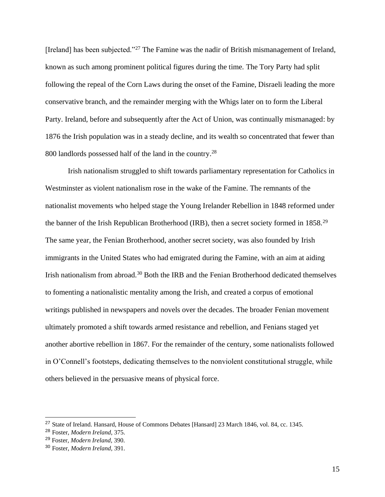[Ireland] has been subjected."<sup>27</sup> The Famine was the nadir of British mismanagement of Ireland, known as such among prominent political figures during the time. The Tory Party had split following the repeal of the Corn Laws during the onset of the Famine, Disraeli leading the more conservative branch, and the remainder merging with the Whigs later on to form the Liberal Party. Ireland, before and subsequently after the Act of Union, was continually mismanaged: by 1876 the Irish population was in a steady decline, and its wealth so concentrated that fewer than 800 landlords possessed half of the land in the country.<sup>28</sup>

Irish nationalism struggled to shift towards parliamentary representation for Catholics in Westminster as violent nationalism rose in the wake of the Famine. The remnants of the nationalist movements who helped stage the Young Irelander Rebellion in 1848 reformed under the banner of the Irish Republican Brotherhood (IRB), then a secret society formed in 1858.<sup>29</sup> The same year, the Fenian Brotherhood, another secret society, was also founded by Irish immigrants in the United States who had emigrated during the Famine, with an aim at aiding Irish nationalism from abroad.<sup>30</sup> Both the IRB and the Fenian Brotherhood dedicated themselves to fomenting a nationalistic mentality among the Irish, and created a corpus of emotional writings published in newspapers and novels over the decades. The broader Fenian movement ultimately promoted a shift towards armed resistance and rebellion, and Fenians staged yet another abortive rebellion in 1867. For the remainder of the century, some nationalists followed in O'Connell's footsteps, dedicating themselves to the nonviolent constitutional struggle, while others believed in the persuasive means of physical force.

<sup>27</sup> State of Ireland. Hansard, House of Commons Debates [Hansard] 23 March 1846, vol. 84, cc. 1345.

<sup>28</sup> Foster, *Modern Ireland*, 375.

<sup>29</sup> Foster, *Modern Ireland,* 390.

<sup>30</sup> Foster, *Modern Ireland,* 391.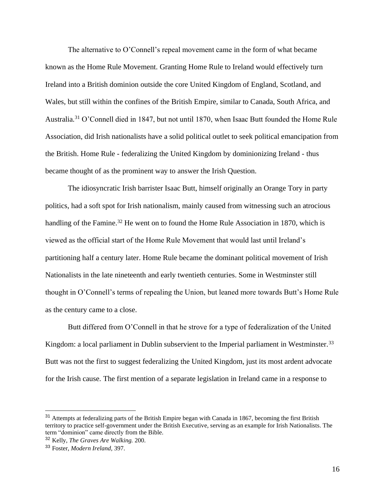The alternative to O'Connell's repeal movement came in the form of what became known as the Home Rule Movement. Granting Home Rule to Ireland would effectively turn Ireland into a British dominion outside the core United Kingdom of England, Scotland, and Wales, but still within the confines of the British Empire, similar to Canada, South Africa, and Australia.<sup>31</sup> O'Connell died in 1847, but not until 1870, when Isaac Butt founded the Home Rule Association, did Irish nationalists have a solid political outlet to seek political emancipation from the British. Home Rule - federalizing the United Kingdom by dominionizing Ireland - thus became thought of as the prominent way to answer the Irish Question.

The idiosyncratic Irish barrister Isaac Butt, himself originally an Orange Tory in party politics, had a soft spot for Irish nationalism, mainly caused from witnessing such an atrocious handling of the Famine.<sup>32</sup> He went on to found the Home Rule Association in 1870, which is viewed as the official start of the Home Rule Movement that would last until Ireland's partitioning half a century later. Home Rule became the dominant political movement of Irish Nationalists in the late nineteenth and early twentieth centuries. Some in Westminster still thought in O'Connell's terms of repealing the Union, but leaned more towards Butt's Home Rule as the century came to a close.

Butt differed from O'Connell in that he strove for a type of federalization of the United Kingdom: a local parliament in Dublin subservient to the Imperial parliament in Westminster.<sup>33</sup> Butt was not the first to suggest federalizing the United Kingdom, just its most ardent advocate for the Irish cause. The first mention of a separate legislation in Ireland came in a response to

<sup>&</sup>lt;sup>31</sup> Attempts at federalizing parts of the British Empire began with Canada in 1867, becoming the first British territory to practice self-government under the British Executive, serving as an example for Irish Nationalists. The term "dominion" came directly from the Bible.

<sup>32</sup> Kelly, *The Graves Are Walking.* 200.

<sup>33</sup> Foster, *Modern Ireland,* 397.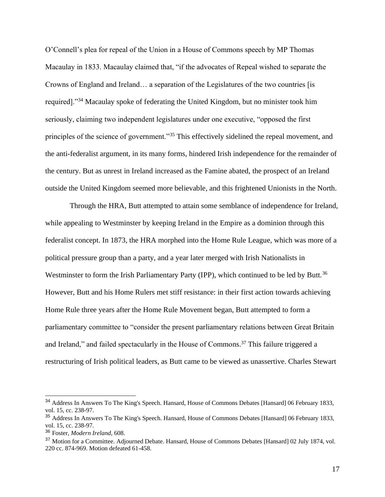O'Connell's plea for repeal of the Union in a House of Commons speech by MP Thomas Macaulay in 1833. Macaulay claimed that, "if the advocates of Repeal wished to separate the Crowns of England and Ireland… a separation of the Legislatures of the two countries [is required]."<sup>34</sup> Macaulay spoke of federating the United Kingdom, but no minister took him seriously, claiming two independent legislatures under one executive, "opposed the first principles of the science of government."<sup>35</sup> This effectively sidelined the repeal movement, and the anti-federalist argument, in its many forms, hindered Irish independence for the remainder of the century. But as unrest in Ireland increased as the Famine abated, the prospect of an Ireland outside the United Kingdom seemed more believable, and this frightened Unionists in the North.

Through the HRA, Butt attempted to attain some semblance of independence for Ireland, while appealing to Westminster by keeping Ireland in the Empire as a dominion through this federalist concept. In 1873, the HRA morphed into the Home Rule League, which was more of a political pressure group than a party, and a year later merged with Irish Nationalists in Westminster to form the Irish Parliamentary Party (IPP), which continued to be led by Butt.<sup>36</sup> However, Butt and his Home Rulers met stiff resistance: in their first action towards achieving Home Rule three years after the Home Rule Movement began, Butt attempted to form a parliamentary committee to "consider the present parliamentary relations between Great Britain and Ireland," and failed spectacularly in the House of Commons.<sup>37</sup> This failure triggered a restructuring of Irish political leaders, as Butt came to be viewed as unassertive. Charles Stewart

<sup>34</sup> Address In Answers To The King's Speech. Hansard, House of Commons Debates [Hansard] 06 February 1833, vol. 15, cc. 238-97.

<sup>35</sup> Address In Answers To The King's Speech. Hansard, House of Commons Debates [Hansard] 06 February 1833, vol. 15, cc. 238-97.

<sup>36</sup> Foster, *Modern Ireland,* 608.

<sup>&</sup>lt;sup>37</sup> Motion for a Committee. Adjourned Debate. Hansard, House of Commons Debates [Hansard] 02 July 1874, vol. 220 cc. 874-969. Motion defeated 61-458.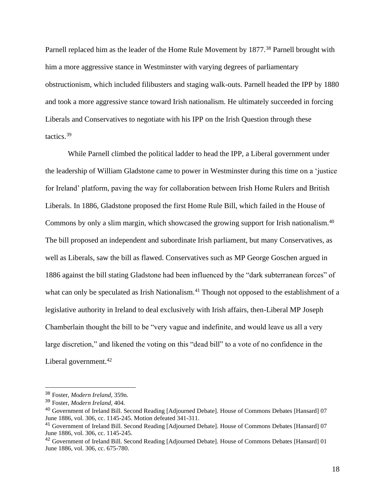Parnell replaced him as the leader of the Home Rule Movement by 1877.<sup>38</sup> Parnell brought with him a more aggressive stance in Westminster with varying degrees of parliamentary obstructionism, which included filibusters and staging walk-outs. Parnell headed the IPP by 1880 and took a more aggressive stance toward Irish nationalism. He ultimately succeeded in forcing Liberals and Conservatives to negotiate with his IPP on the Irish Question through these tactics.<sup>39</sup>

While Parnell climbed the political ladder to head the IPP, a Liberal government under the leadership of William Gladstone came to power in Westminster during this time on a 'justice for Ireland' platform, paving the way for collaboration between Irish Home Rulers and British Liberals. In 1886, Gladstone proposed the first Home Rule Bill, which failed in the House of Commons by only a slim margin, which showcased the growing support for Irish nationalism.<sup>40</sup> The bill proposed an independent and subordinate Irish parliament, but many Conservatives, as well as Liberals, saw the bill as flawed. Conservatives such as MP George Goschen argued in 1886 against the bill stating Gladstone had been influenced by the "dark subterranean forces" of what can only be speculated as Irish Nationalism.<sup>41</sup> Though not opposed to the establishment of a legislative authority in Ireland to deal exclusively with Irish affairs, then-Liberal MP Joseph Chamberlain thought the bill to be "very vague and indefinite, and would leave us all a very large discretion," and likened the voting on this "dead bill" to a vote of no confidence in the Liberal government.<sup>42</sup>

<sup>38</sup> Foster, *Modern Ireland,* 359n.

<sup>39</sup> Foster, *Modern Ireland,* 404.

<sup>40</sup> Government of Ireland Bill. Second Reading [Adjourned Debate]. House of Commons Debates [Hansard] 07 June 1886, vol. 306, cc. 1145-245. Motion defeated 341-311.

<sup>41</sup> Government of Ireland Bill. Second Reading [Adjourned Debate]. House of Commons Debates [Hansard] 07 June 1886, vol. 306, cc. 1145-245.

<sup>42</sup> Government of Ireland Bill. Second Reading [Adjourned Debate]. House of Commons Debates [Hansard] 01 June 1886, vol. 306, cc. 675-780.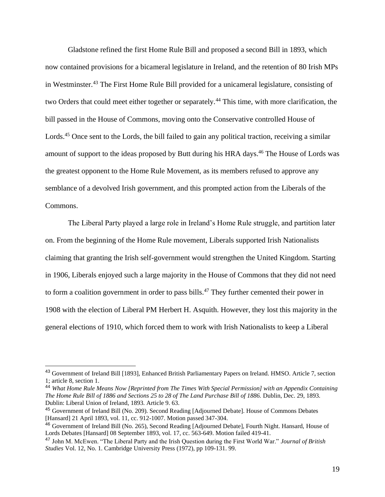Gladstone refined the first Home Rule Bill and proposed a second Bill in 1893, which now contained provisions for a bicameral legislature in Ireland, and the retention of 80 Irish MPs in Westminster.<sup>43</sup> The First Home Rule Bill provided for a unicameral legislature, consisting of two Orders that could meet either together or separately.<sup>44</sup> This time, with more clarification, the bill passed in the House of Commons, moving onto the Conservative controlled House of Lords.<sup>45</sup> Once sent to the Lords, the bill failed to gain any political traction, receiving a similar amount of support to the ideas proposed by Butt during his HRA days.<sup>46</sup> The House of Lords was the greatest opponent to the Home Rule Movement, as its members refused to approve any semblance of a devolved Irish government, and this prompted action from the Liberals of the Commons.

The Liberal Party played a large role in Ireland's Home Rule struggle, and partition later on. From the beginning of the Home Rule movement, Liberals supported Irish Nationalists claiming that granting the Irish self-government would strengthen the United Kingdom. Starting in 1906, Liberals enjoyed such a large majority in the House of Commons that they did not need to form a coalition government in order to pass bills.<sup>47</sup> They further cemented their power in 1908 with the election of Liberal PM Herbert H. Asquith. However, they lost this majority in the general elections of 1910, which forced them to work with Irish Nationalists to keep a Liberal

<sup>43</sup> Government of Ireland Bill [1893], Enhanced British Parliamentary Papers on Ireland. HMSO. Article 7, section 1; article 8, section 1.

<sup>44</sup> *What Home Rule Means Now [Reprinted from The Times With Special Permission] with an Appendix Containing The Home Rule Bill of 1886 and Sections 25 to 28 of The Land Purchase Bill of 1886.* Dublin, Dec. 29, 1893*.* Dublin: Liberal Union of Ireland, 1893. Article 9. 63.

<sup>45</sup> Government of Ireland Bill (No. 209). Second Reading [Adjourned Debate]. House of Commons Debates [Hansard] 21 April 1893, vol. 11, cc. 912-1007. Motion passed 347-304.

<sup>46</sup> Government of Ireland Bill (No. 265), Second Reading [Adjourned Debate], Fourth Night. Hansard, House of Lords Debates [Hansard] 08 September 1893, vol. 17, cc. 563-649. Motion failed 419-41.

<sup>47</sup> John M. McEwen. "The Liberal Party and the Irish Question during the First World War." *Journal of British Studies* Vol. 12, No. 1. Cambridge University Press (1972), pp 109-131. 99.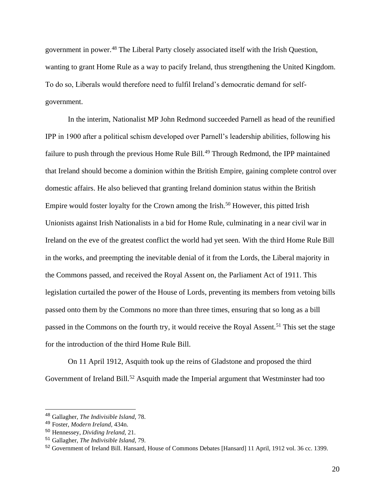government in power.<sup>48</sup> The Liberal Party closely associated itself with the Irish Question, wanting to grant Home Rule as a way to pacify Ireland, thus strengthening the United Kingdom. To do so, Liberals would therefore need to fulfil Ireland's democratic demand for selfgovernment.

In the interim, Nationalist MP John Redmond succeeded Parnell as head of the reunified IPP in 1900 after a political schism developed over Parnell's leadership abilities, following his failure to push through the previous Home Rule Bill.<sup>49</sup> Through Redmond, the IPP maintained that Ireland should become a dominion within the British Empire, gaining complete control over domestic affairs. He also believed that granting Ireland dominion status within the British Empire would foster loyalty for the Crown among the Irish.<sup>50</sup> However, this pitted Irish Unionists against Irish Nationalists in a bid for Home Rule, culminating in a near civil war in Ireland on the eve of the greatest conflict the world had yet seen. With the third Home Rule Bill in the works, and preempting the inevitable denial of it from the Lords, the Liberal majority in the Commons passed, and received the Royal Assent on, the Parliament Act of 1911. This legislation curtailed the power of the House of Lords, preventing its members from vetoing bills passed onto them by the Commons no more than three times, ensuring that so long as a bill passed in the Commons on the fourth try, it would receive the Royal Assent.<sup>51</sup> This set the stage for the introduction of the third Home Rule Bill.

On 11 April 1912, Asquith took up the reins of Gladstone and proposed the third Government of Ireland Bill.<sup>52</sup> Asquith made the Imperial argument that Westminster had too

20

<sup>48</sup> Gallagher, *The Indivisible Island*, 78.

<sup>49</sup> Foster, *Modern Ireland,* 434n.

<sup>50</sup> Hennessey, *Dividing Ireland,* 21.

<sup>51</sup> Gallagher, *The Indivisible Island*, 79.

<sup>52</sup> Government of Ireland Bill. Hansard, House of Commons Debates [Hansard] 11 April, 1912 vol. 36 cc. 1399.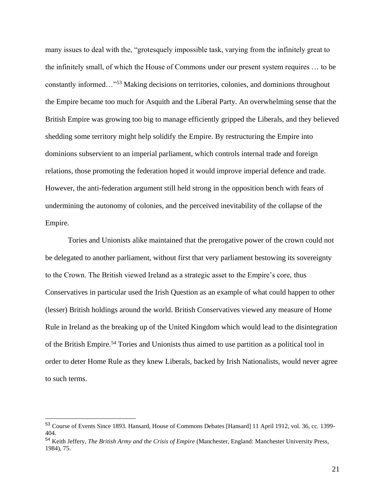many issues to deal with the, "grotesquely impossible task, varying from the infinitely great to the infinitely small, of which the House of Commons under our present system requires … to be constantly informed…"<sup>53</sup> Making decisions on territories, colonies, and dominions throughout the Empire became too much for Asquith and the Liberal Party. An overwhelming sense that the British Empire was growing too big to manage efficiently gripped the Liberals, and they believed shedding some territory might help solidify the Empire. By restructuring the Empire into dominions subservient to an imperial parliament, which controls internal trade and foreign relations, those promoting the federation hoped it would improve imperial defence and trade. However, the anti-federation argument still held strong in the opposition bench with fears of undermining the autonomy of colonies, and the perceived inevitability of the collapse of the Empire.

Tories and Unionists alike maintained that the prerogative power of the crown could not be delegated to another parliament, without first that very parliament bestowing its sovereignty to the Crown. The British viewed Ireland as a strategic asset to the Empire's core, thus Conservatives in particular used the Irish Question as an example of what could happen to other (lesser) British holdings around the world. British Conservatives viewed any measure of Home Rule in Ireland as the breaking up of the United Kingdom which would lead to the disintegration of the British Empire.<sup>54</sup> Tories and Unionists thus aimed to use partition as a political tool in order to deter Home Rule as they knew Liberals, backed by Irish Nationalists, would never agree to such terms.

<sup>53</sup> Course of Events Since 1893. Hansard, House of Commons Debates [Hansard] 11 April 1912, vol. 36, cc. 1399- 404.

<sup>54</sup> Keith Jeffery, *The British Army and the Crisis of Empire* (Manchester, England: Manchester University Press, 1984), 75.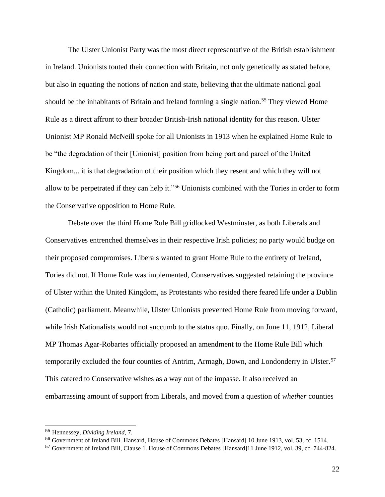The Ulster Unionist Party was the most direct representative of the British establishment in Ireland. Unionists touted their connection with Britain, not only genetically as stated before, but also in equating the notions of nation and state, believing that the ultimate national goal should be the inhabitants of Britain and Ireland forming a single nation.<sup>55</sup> They viewed Home Rule as a direct affront to their broader British-Irish national identity for this reason. Ulster Unionist MP Ronald McNeill spoke for all Unionists in 1913 when he explained Home Rule to be "the degradation of their [Unionist] position from being part and parcel of the United Kingdom... it is that degradation of their position which they resent and which they will not allow to be perpetrated if they can help it."<sup>56</sup> Unionists combined with the Tories in order to form the Conservative opposition to Home Rule.

Debate over the third Home Rule Bill gridlocked Westminster, as both Liberals and Conservatives entrenched themselves in their respective Irish policies; no party would budge on their proposed compromises. Liberals wanted to grant Home Rule to the entirety of Ireland, Tories did not. If Home Rule was implemented, Conservatives suggested retaining the province of Ulster within the United Kingdom, as Protestants who resided there feared life under a Dublin (Catholic) parliament. Meanwhile, Ulster Unionists prevented Home Rule from moving forward, while Irish Nationalists would not succumb to the status quo. Finally, on June 11, 1912, Liberal MP Thomas Agar-Robartes officially proposed an amendment to the Home Rule Bill which temporarily excluded the four counties of Antrim, Armagh, Down, and Londonderry in Ulster.<sup>57</sup> This catered to Conservative wishes as a way out of the impasse. It also received an embarrassing amount of support from Liberals, and moved from a question of *whether* counties

<sup>55</sup> Hennessey, *Dividing Ireland,* 7.

<sup>56</sup> Government of Ireland Bill. Hansard, House of Commons Debates [Hansard] 10 June 1913, vol. 53, cc. 1514.

<sup>57</sup> Government of Ireland Bill, Clause 1. House of Commons Debates [Hansard]11 June 1912, vol. 39, cc. 744-824.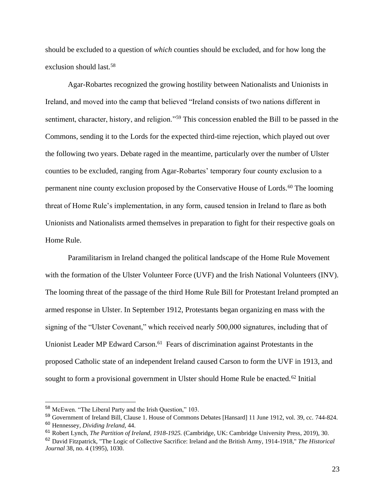should be excluded to a question of *which* counties should be excluded, and for how long the exclusion should last.<sup>58</sup>

Agar-Robartes recognized the growing hostility between Nationalists and Unionists in Ireland, and moved into the camp that believed "Ireland consists of two nations different in sentiment, character, history, and religion."<sup>59</sup> This concession enabled the Bill to be passed in the Commons, sending it to the Lords for the expected third-time rejection, which played out over the following two years. Debate raged in the meantime, particularly over the number of Ulster counties to be excluded, ranging from Agar-Robartes' temporary four county exclusion to a permanent nine county exclusion proposed by the Conservative House of Lords.<sup>60</sup> The looming threat of Home Rule's implementation, in any form, caused tension in Ireland to flare as both Unionists and Nationalists armed themselves in preparation to fight for their respective goals on Home Rule.

Paramilitarism in Ireland changed the political landscape of the Home Rule Movement with the formation of the Ulster Volunteer Force (UVF) and the Irish National Volunteers (INV). The looming threat of the passage of the third Home Rule Bill for Protestant Ireland prompted an armed response in Ulster. In September 1912, Protestants began organizing en mass with the signing of the "Ulster Covenant," which received nearly 500,000 signatures, including that of Unionist Leader MP Edward Carson.<sup>61</sup> Fears of discrimination against Protestants in the proposed Catholic state of an independent Ireland caused Carson to form the UVF in 1913, and sought to form a provisional government in Ulster should Home Rule be enacted.<sup>62</sup> Initial

<sup>58</sup> McEwen. "The Liberal Party and the Irish Question," 103.

<sup>59</sup> Government of Ireland Bill, Clause 1. House of Commons Debates [Hansard] 11 June 1912, vol. 39, cc. 744-824. <sup>60</sup> Hennessey, *Dividing Ireland,* 44.

<sup>61</sup> Robert Lynch, *The Partition of Ireland, 1918-1925.* (Cambridge, UK: Cambridge University Press, 2019), 30.

<sup>62</sup> David Fitzpatrick, "The Logic of Collective Sacrifice: Ireland and the British Army, 1914-1918," *The Historical Journal* 38, no. 4 (1995), 1030.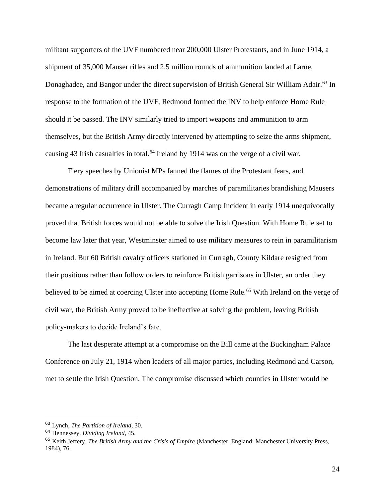militant supporters of the UVF numbered near 200,000 Ulster Protestants, and in June 1914, a shipment of 35,000 Mauser rifles and 2.5 million rounds of ammunition landed at Larne, Donaghadee, and Bangor under the direct supervision of British General Sir William Adair.<sup>63</sup> In response to the formation of the UVF, Redmond formed the INV to help enforce Home Rule should it be passed. The INV similarly tried to import weapons and ammunition to arm themselves, but the British Army directly intervened by attempting to seize the arms shipment, causing 43 Irish casualties in total.<sup>64</sup> Ireland by 1914 was on the verge of a civil war.

Fiery speeches by Unionist MPs fanned the flames of the Protestant fears, and demonstrations of military drill accompanied by marches of paramilitaries brandishing Mausers became a regular occurrence in Ulster. The Curragh Camp Incident in early 1914 unequivocally proved that British forces would not be able to solve the Irish Question. With Home Rule set to become law later that year, Westminster aimed to use military measures to rein in paramilitarism in Ireland. But 60 British cavalry officers stationed in Curragh, County Kildare resigned from their positions rather than follow orders to reinforce British garrisons in Ulster, an order they believed to be aimed at coercing Ulster into accepting Home Rule.<sup>65</sup> With Ireland on the verge of civil war, the British Army proved to be ineffective at solving the problem, leaving British policy-makers to decide Ireland's fate.

The last desperate attempt at a compromise on the Bill came at the Buckingham Palace Conference on July 21, 1914 when leaders of all major parties, including Redmond and Carson, met to settle the Irish Question. The compromise discussed which counties in Ulster would be

<sup>63</sup> Lynch, *The Partition of Ireland,* 30.

<sup>64</sup> Hennessey, *Dividing Ireland*, 45.

<sup>65</sup> Keith Jeffery, *The British Army and the Crisis of Empire* (Manchester, England: Manchester University Press, 1984), 76.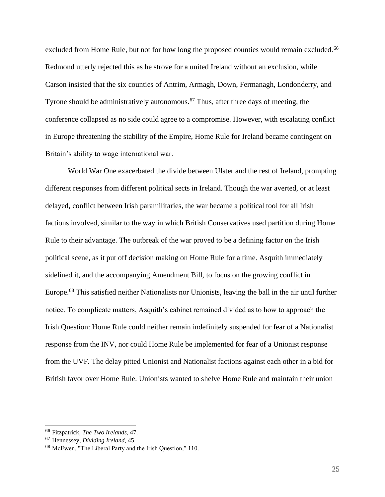excluded from Home Rule, but not for how long the proposed counties would remain excluded.<sup>66</sup> Redmond utterly rejected this as he strove for a united Ireland without an exclusion, while Carson insisted that the six counties of Antrim, Armagh, Down, Fermanagh, Londonderry, and Tyrone should be administratively autonomous.<sup>67</sup> Thus, after three days of meeting, the conference collapsed as no side could agree to a compromise. However, with escalating conflict in Europe threatening the stability of the Empire, Home Rule for Ireland became contingent on Britain's ability to wage international war.

World War One exacerbated the divide between Ulster and the rest of Ireland, prompting different responses from different political sects in Ireland. Though the war averted, or at least delayed, conflict between Irish paramilitaries, the war became a political tool for all Irish factions involved, similar to the way in which British Conservatives used partition during Home Rule to their advantage. The outbreak of the war proved to be a defining factor on the Irish political scene, as it put off decision making on Home Rule for a time. Asquith immediately sidelined it, and the accompanying Amendment Bill, to focus on the growing conflict in Europe.<sup>68</sup> This satisfied neither Nationalists nor Unionists, leaving the ball in the air until further notice. To complicate matters, Asquith's cabinet remained divided as to how to approach the Irish Question: Home Rule could neither remain indefinitely suspended for fear of a Nationalist response from the INV, nor could Home Rule be implemented for fear of a Unionist response from the UVF. The delay pitted Unionist and Nationalist factions against each other in a bid for British favor over Home Rule. Unionists wanted to shelve Home Rule and maintain their union

<sup>66</sup> Fitzpatrick, *The Two Irelands,* 47.

<sup>67</sup> Hennessey, *Dividing Ireland*, 45.

<sup>68</sup> McEwen. "The Liberal Party and the Irish Question," 110.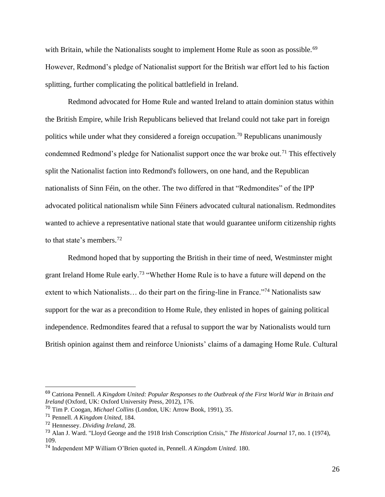with Britain, while the Nationalists sought to implement Home Rule as soon as possible.<sup>69</sup> However, Redmond's pledge of Nationalist support for the British war effort led to his faction splitting, further complicating the political battlefield in Ireland.

Redmond advocated for Home Rule and wanted Ireland to attain dominion status within the British Empire, while Irish Republicans believed that Ireland could not take part in foreign politics while under what they considered a foreign occupation.<sup>70</sup> Republicans unanimously condemned Redmond's pledge for Nationalist support once the war broke out.<sup>71</sup> This effectively split the Nationalist faction into Redmond's followers, on one hand, and the Republican nationalists of Sinn Féin, on the other. The two differed in that "Redmondites" of the IPP advocated political nationalism while Sinn Féiners advocated cultural nationalism. Redmondites wanted to achieve a representative national state that would guarantee uniform citizenship rights to that state's members.<sup>72</sup>

Redmond hoped that by supporting the British in their time of need, Westminster might grant Ireland Home Rule early.<sup>73</sup> "Whether Home Rule is to have a future will depend on the extent to which Nationalists… do their part on the firing-line in France."<sup>74</sup> Nationalists saw support for the war as a precondition to Home Rule, they enlisted in hopes of gaining political independence. Redmondites feared that a refusal to support the war by Nationalists would turn British opinion against them and reinforce Unionists' claims of a damaging Home Rule. Cultural

<sup>69</sup> Catriona Pennell. *A Kingdom United: Popular Responses to the Outbreak of the First World War in Britain and Ireland* (Oxford, UK: Oxford University Press, 2012), 176.

<sup>70</sup> Tim P. Coogan, *Michael Collins* (London, UK: Arrow Book, 1991), 35.

<sup>71</sup> Pennell. *A Kingdom United,* 184.

<sup>72</sup> Hennessey. *Dividing Ireland,* 28.

<sup>73</sup> Alan J. Ward. "Lloyd George and the 1918 Irish Conscription Crisis," *The Historical Journal* 17, no. 1 (1974), 109.

<sup>74</sup> Independent MP William O'Brien quoted in, Pennell. *A Kingdom United.* 180.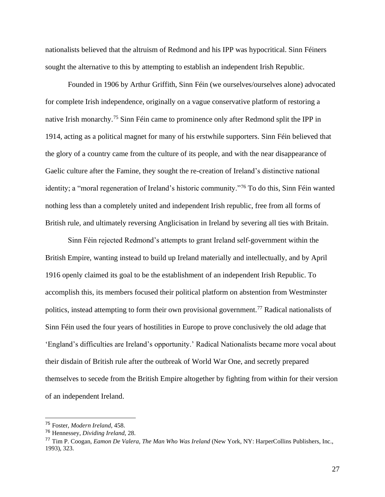nationalists believed that the altruism of Redmond and his IPP was hypocritical. Sinn Féiners sought the alternative to this by attempting to establish an independent Irish Republic.

Founded in 1906 by Arthur Griffith, Sinn Féin (we ourselves/ourselves alone) advocated for complete Irish independence, originally on a vague conservative platform of restoring a native Irish monarchy.<sup>75</sup> Sinn Féin came to prominence only after Redmond split the IPP in 1914, acting as a political magnet for many of his erstwhile supporters. Sinn Féin believed that the glory of a country came from the culture of its people, and with the near disappearance of Gaelic culture after the Famine, they sought the re-creation of Ireland's distinctive national identity; a "moral regeneration of Ireland's historic community."<sup>76</sup> To do this, Sinn Féin wanted nothing less than a completely united and independent Irish republic, free from all forms of British rule, and ultimately reversing Anglicisation in Ireland by severing all ties with Britain.

Sinn Féin rejected Redmond's attempts to grant Ireland self-government within the British Empire, wanting instead to build up Ireland materially and intellectually, and by April 1916 openly claimed its goal to be the establishment of an independent Irish Republic. To accomplish this, its members focused their political platform on abstention from Westminster politics, instead attempting to form their own provisional government.<sup>77</sup> Radical nationalists of Sinn Féin used the four years of hostilities in Europe to prove conclusively the old adage that 'England's difficulties are Ireland's opportunity.' Radical Nationalists became more vocal about their disdain of British rule after the outbreak of World War One, and secretly prepared themselves to secede from the British Empire altogether by fighting from within for their version of an independent Ireland.

27

<sup>75</sup> Foster, *Modern Ireland*, 458.

<sup>76</sup> Hennessey, *Dividing Ireland,* 28.

<sup>77</sup> Tim P. Coogan, *Eamon De Valera, The Man Who Was Ireland* (New York, NY: HarperCollins Publishers, Inc., 1993), 323.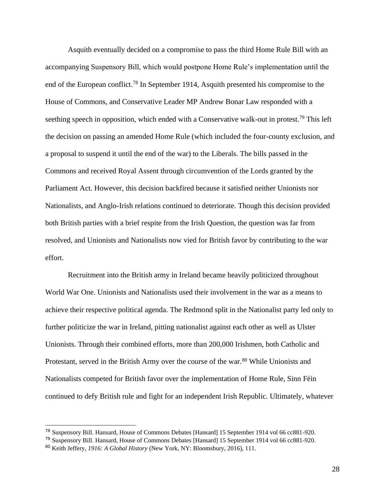Asquith eventually decided on a compromise to pass the third Home Rule Bill with an accompanying Suspensory Bill, which would postpone Home Rule's implementation until the end of the European conflict.<sup>78</sup> In September 1914, Asquith presented his compromise to the House of Commons, and Conservative Leader MP Andrew Bonar Law responded with a seething speech in opposition, which ended with a Conservative walk-out in protest.<sup>79</sup> This left the decision on passing an amended Home Rule (which included the four-county exclusion, and a proposal to suspend it until the end of the war) to the Liberals. The bills passed in the Commons and received Royal Assent through circumvention of the Lords granted by the Parliament Act. However, this decision backfired because it satisfied neither Unionists nor Nationalists, and Anglo-Irish relations continued to deteriorate. Though this decision provided both British parties with a brief respite from the Irish Question, the question was far from resolved, and Unionists and Nationalists now vied for British favor by contributing to the war effort.

Recruitment into the British army in Ireland became heavily politicized throughout World War One. Unionists and Nationalists used their involvement in the war as a means to achieve their respective political agenda. The Redmond split in the Nationalist party led only to further politicize the war in Ireland, pitting nationalist against each other as well as Ulster Unionists. Through their combined efforts, more than 200,000 Irishmen, both Catholic and Protestant, served in the British Army over the course of the war.<sup>80</sup> While Unionists and Nationalists competed for British favor over the implementation of Home Rule, Sinn Féin continued to defy British rule and fight for an independent Irish Republic. Ultimately, whatever

28

<sup>78</sup> Suspensory Bill. Hansard, House of Commons Debates [Hansard] 15 September 1914 vol 66 cc881-920.

<sup>79</sup> Suspensory Bill. Hansard, House of Commons Debates [Hansard] 15 September 1914 vol 66 cc881-920.

<sup>80</sup> Keith Jeffery, *1916: A Global History* (New York, NY: Bloomsbury, 2016), 111.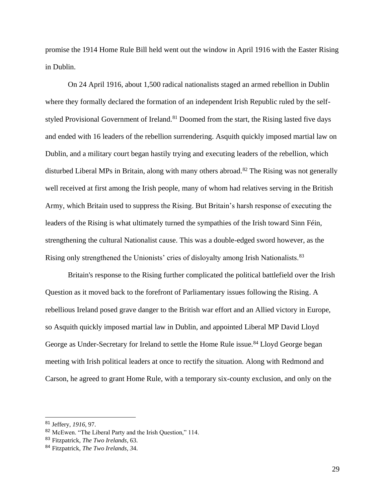promise the 1914 Home Rule Bill held went out the window in April 1916 with the Easter Rising in Dublin.

On 24 April 1916, about 1,500 radical nationalists staged an armed rebellion in Dublin where they formally declared the formation of an independent Irish Republic ruled by the selfstyled Provisional Government of Ireland.<sup>81</sup> Doomed from the start, the Rising lasted five days and ended with 16 leaders of the rebellion surrendering. Asquith quickly imposed martial law on Dublin, and a military court began hastily trying and executing leaders of the rebellion, which disturbed Liberal MPs in Britain, along with many others abroad.<sup>82</sup> The Rising was not generally well received at first among the Irish people, many of whom had relatives serving in the British Army, which Britain used to suppress the Rising. But Britain's harsh response of executing the leaders of the Rising is what ultimately turned the sympathies of the Irish toward Sinn Féin, strengthening the cultural Nationalist cause. This was a double-edged sword however, as the Rising only strengthened the Unionists' cries of disloyalty among Irish Nationalists.<sup>83</sup>

Britain's response to the Rising further complicated the political battlefield over the Irish Question as it moved back to the forefront of Parliamentary issues following the Rising. A rebellious Ireland posed grave danger to the British war effort and an Allied victory in Europe, so Asquith quickly imposed martial law in Dublin, and appointed Liberal MP David Lloyd George as Under-Secretary for Ireland to settle the Home Rule issue.<sup>84</sup> Lloyd George began meeting with Irish political leaders at once to rectify the situation. Along with Redmond and Carson, he agreed to grant Home Rule, with a temporary six-county exclusion, and only on the

<sup>81</sup> Jeffery, *1916*, 97.

<sup>82</sup> McEwen. "The Liberal Party and the Irish Question," 114.

<sup>83</sup> Fitzpatrick, *The Two Irelands*, 63.

<sup>84</sup> Fitzpatrick, *The Two Irelands, 3*4.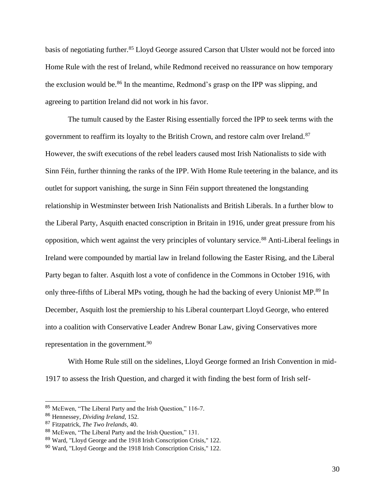basis of negotiating further.<sup>85</sup> Lloyd George assured Carson that Ulster would not be forced into Home Rule with the rest of Ireland, while Redmond received no reassurance on how temporary the exclusion would be.<sup>86</sup> In the meantime, Redmond's grasp on the IPP was slipping, and agreeing to partition Ireland did not work in his favor.

The tumult caused by the Easter Rising essentially forced the IPP to seek terms with the government to reaffirm its loyalty to the British Crown, and restore calm over Ireland.<sup>87</sup> However, the swift executions of the rebel leaders caused most Irish Nationalists to side with Sinn Féin, further thinning the ranks of the IPP. With Home Rule teetering in the balance, and its outlet for support vanishing, the surge in Sinn Féin support threatened the longstanding relationship in Westminster between Irish Nationalists and British Liberals. In a further blow to the Liberal Party, Asquith enacted conscription in Britain in 1916, under great pressure from his opposition, which went against the very principles of voluntary service.<sup>88</sup> Anti-Liberal feelings in Ireland were compounded by martial law in Ireland following the Easter Rising, and the Liberal Party began to falter. Asquith lost a vote of confidence in the Commons in October 1916, with only three-fifths of Liberal MPs voting, though he had the backing of every Unionist MP.<sup>89</sup> In December, Asquith lost the premiership to his Liberal counterpart Lloyd George, who entered into a coalition with Conservative Leader Andrew Bonar Law, giving Conservatives more representation in the government.<sup>90</sup>

With Home Rule still on the sidelines, Lloyd George formed an Irish Convention in mid-1917 to assess the Irish Question, and charged it with finding the best form of Irish self-

<sup>85</sup> McEwen, "The Liberal Party and the Irish Question," 116-7.

<sup>86</sup> Hennessey, *Dividing Ireland,* 152.

<sup>87</sup> Fitzpatrick, *The Two Irelands,* 40.

<sup>88</sup> McEwen, "The Liberal Party and the Irish Question," 131.

<sup>89</sup> Ward, "Lloyd George and the 1918 Irish Conscription Crisis," 122.

<sup>90</sup> Ward, "Lloyd George and the 1918 Irish Conscription Crisis," 122.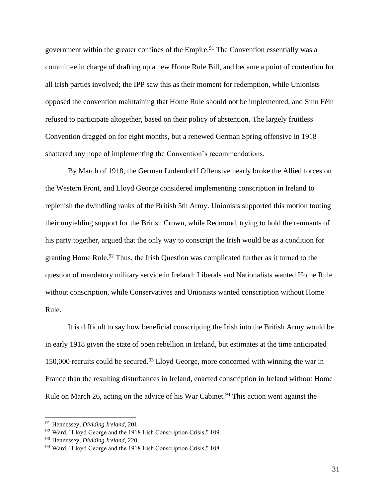government within the greater confines of the Empire.<sup>91</sup> The Convention essentially was a committee in charge of drafting up a new Home Rule Bill, and became a point of contention for all Irish parties involved; the IPP saw this as their moment for redemption, while Unionists opposed the convention maintaining that Home Rule should not be implemented, and Sinn Féin refused to participate altogether, based on their policy of abstention. The largely fruitless Convention dragged on for eight months, but a renewed German Spring offensive in 1918 shattered any hope of implementing the Convention's recommendations.

By March of 1918, the German Ludendorff Offensive nearly broke the Allied forces on the Western Front, and Lloyd George considered implementing conscription in Ireland to replenish the dwindling ranks of the British 5th Army. Unionists supported this motion touting their unyielding support for the British Crown, while Redmond, trying to hold the remnants of his party together, argued that the only way to conscript the Irish would be as a condition for granting Home Rule.<sup>92</sup> Thus, the Irish Question was complicated further as it turned to the question of mandatory military service in Ireland: Liberals and Nationalists wanted Home Rule without conscription, while Conservatives and Unionists wanted conscription without Home Rule.

It is difficult to say how beneficial conscripting the Irish into the British Army would be in early 1918 given the state of open rebellion in Ireland, but estimates at the time anticipated 150,000 recruits could be secured.<sup>93</sup> Lloyd George, more concerned with winning the war in France than the resulting disturbances in Ireland, enacted conscription in Ireland without Home Rule on March 26, acting on the advice of his War Cabinet.<sup>94</sup> This action went against the

<sup>91</sup> Hennessey, *Dividing Ireland,* 201.

<sup>92</sup> Ward, "Lloyd George and the 1918 Irish Conscription Crisis," 109.

<sup>93</sup> Hennessey, *Dividing Ireland,* 220.

<sup>94</sup> Ward, "Lloyd George and the 1918 Irish Conscription Crisis," 108.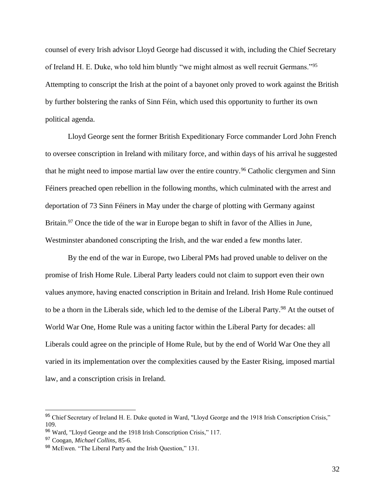counsel of every Irish advisor Lloyd George had discussed it with, including the Chief Secretary of Ireland H. E. Duke, who told him bluntly "we might almost as well recruit Germans."<sup>95</sup> Attempting to conscript the Irish at the point of a bayonet only proved to work against the British by further bolstering the ranks of Sinn Féin, which used this opportunity to further its own political agenda.

Lloyd George sent the former British Expeditionary Force commander Lord John French to oversee conscription in Ireland with military force, and within days of his arrival he suggested that he might need to impose martial law over the entire country.<sup>96</sup> Catholic clergymen and Sinn Féiners preached open rebellion in the following months, which culminated with the arrest and deportation of 73 Sinn Féiners in May under the charge of plotting with Germany against Britain.<sup>97</sup> Once the tide of the war in Europe began to shift in favor of the Allies in June, Westminster abandoned conscripting the Irish, and the war ended a few months later.

By the end of the war in Europe, two Liberal PMs had proved unable to deliver on the promise of Irish Home Rule. Liberal Party leaders could not claim to support even their own values anymore, having enacted conscription in Britain and Ireland. Irish Home Rule continued to be a thorn in the Liberals side, which led to the demise of the Liberal Party.<sup>98</sup> At the outset of World War One, Home Rule was a uniting factor within the Liberal Party for decades: all Liberals could agree on the principle of Home Rule, but by the end of World War One they all varied in its implementation over the complexities caused by the Easter Rising, imposed martial law, and a conscription crisis in Ireland.

<sup>95</sup> Chief Secretary of Ireland H. E. Duke quoted in Ward, "Lloyd George and the 1918 Irish Conscription Crisis," 109.

<sup>96</sup> Ward, "Lloyd George and the 1918 Irish Conscription Crisis," 117.

<sup>97</sup> Coogan, *Michael Collins*, 85-6.

<sup>98</sup> McEwen. "The Liberal Party and the Irish Question," 131.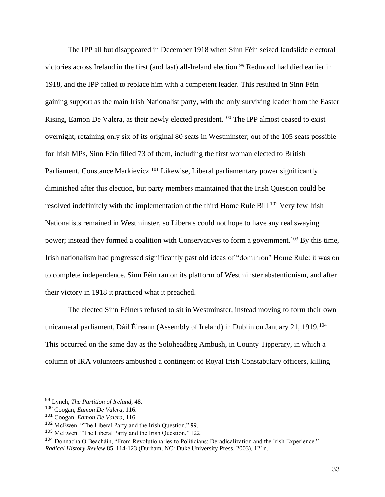The IPP all but disappeared in December 1918 when Sinn Féin seized landslide electoral victories across Ireland in the first (and last) all-Ireland election.<sup>99</sup> Redmond had died earlier in 1918, and the IPP failed to replace him with a competent leader. This resulted in Sinn Féin gaining support as the main Irish Nationalist party, with the only surviving leader from the Easter Rising, Eamon De Valera, as their newly elected president.<sup>100</sup> The IPP almost ceased to exist overnight, retaining only six of its original 80 seats in Westminster; out of the 105 seats possible for Irish MPs, Sinn Féin filled 73 of them, including the first woman elected to British Parliament, Constance Markievicz.<sup>101</sup> Likewise, Liberal parliamentary power significantly diminished after this election, but party members maintained that the Irish Question could be resolved indefinitely with the implementation of the third Home Rule Bill.<sup>102</sup> Very few Irish Nationalists remained in Westminster, so Liberals could not hope to have any real swaying power; instead they formed a coalition with Conservatives to form a government.<sup>103</sup> By this time, Irish nationalism had progressed significantly past old ideas of "dominion" Home Rule: it was on to complete independence. Sinn Féin ran on its platform of Westminster abstentionism, and after their victory in 1918 it practiced what it preached.

The elected Sinn Féiners refused to sit in Westminster, instead moving to form their own unicameral parliament, Dáil Éireann (Assembly of Ireland) in Dublin on January 21, 1919.<sup>104</sup> This occurred on the same day as the Soloheadbeg Ambush, in County Tipperary, in which a column of IRA volunteers ambushed a contingent of Royal Irish Constabulary officers, killing

<sup>99</sup> Lynch, *The Partition of Ireland,* 48.

<sup>100</sup> Coogan, *Eamon De Valera,* 116.

<sup>101</sup> Coogan, *Eamon De Valera,* 116.

<sup>102</sup> McEwen. "The Liberal Party and the Irish Question," 99.

<sup>103</sup> McEwen. "The Liberal Party and the Irish Question," 122.

<sup>104</sup> Donnacha Ó Beacháin, "From Revolutionaries to Politicians: Deradicalization and the Irish Experience." *Radical History Review* 85, 114-123 (Durham, NC: Duke University Press, 2003), 121n.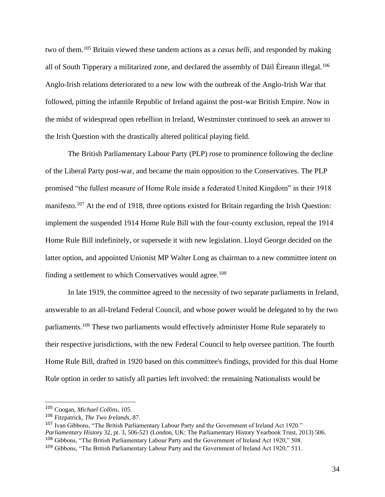two of them.<sup>105</sup> Britain viewed these tandem actions as a *casus belli*, and responded by making all of South Tipperary a militarized zone, and declared the assembly of Dáil Éireann illegal.<sup>106</sup> Anglo-Irish relations deteriorated to a new low with the outbreak of the Anglo-Irish War that followed, pitting the infantile Republic of Ireland against the post-war British Empire. Now in the midst of widespread open rebellion in Ireland, Westminster continued to seek an answer to the Irish Question with the drastically altered political playing field.

The British Parliamentary Labour Party (PLP) rose to prominence following the decline of the Liberal Party post-war, and became the main opposition to the Conservatives. The PLP promised "the fullest measure of Home Rule inside a federated United Kingdom" in their 1918 manifesto.<sup>107</sup> At the end of 1918, three options existed for Britain regarding the Irish Question: implement the suspended 1914 Home Rule Bill with the four-county exclusion, repeal the 1914 Home Rule Bill indefinitely, or supersede it with new legislation. Lloyd George decided on the latter option, and appointed Unionist MP Walter Long as chairman to a new committee intent on finding a settlement to which Conservatives would agree.<sup>108</sup>

In late 1919, the committee agreed to the necessity of two separate parliaments in Ireland, answerable to an all-Ireland Federal Council, and whose power would be delegated to by the two parliaments.<sup>109</sup> These two parliaments would effectively administer Home Rule separately to their respective jurisdictions, with the new Federal Council to help oversee partition. The fourth Home Rule Bill, drafted in 1920 based on this committee's findings, provided for this dual Home Rule option in order to satisfy all parties left involved: the remaining Nationalists would be

<sup>105</sup> Coogan, *Michael Collins*, 105.

<sup>106</sup> Fitzpatrick, *The Two Irelands,* 87.

<sup>107</sup> Ivan Gibbons, "The British Parliamentary Labour Party and the Government of Ireland Act 1920." *Parliamentary History* 32, pt. 3, 506-521 (London, UK: The Parliamentary History Yearbook Trust, 2013) 506. <sup>108</sup> Gibbons, "The British Parliamentary Labour Party and the Government of Ireland Act 1920," 508. <sup>109</sup> Gibbons, "The British Parliamentary Labour Party and the Government of Ireland Act 1920," 511.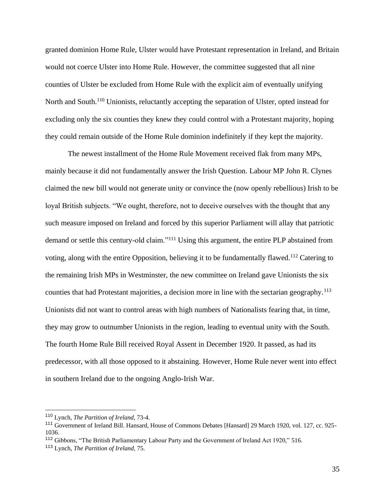granted dominion Home Rule, Ulster would have Protestant representation in Ireland, and Britain would not coerce Ulster into Home Rule. However, the committee suggested that all nine counties of Ulster be excluded from Home Rule with the explicit aim of eventually unifying North and South.<sup>110</sup> Unionists, reluctantly accepting the separation of Ulster, opted instead for excluding only the six counties they knew they could control with a Protestant majority, hoping they could remain outside of the Home Rule dominion indefinitely if they kept the majority.

The newest installment of the Home Rule Movement received flak from many MPs, mainly because it did not fundamentally answer the Irish Question. Labour MP John R. Clynes claimed the new bill would not generate unity or convince the (now openly rebellious) Irish to be loyal British subjects. "We ought, therefore, not to deceive ourselves with the thought that any such measure imposed on Ireland and forced by this superior Parliament will allay that patriotic demand or settle this century-old claim."<sup>111</sup> Using this argument, the entire PLP abstained from voting, along with the entire Opposition, believing it to be fundamentally flawed.<sup>112</sup> Catering to the remaining Irish MPs in Westminster, the new committee on Ireland gave Unionists the six counties that had Protestant majorities, a decision more in line with the sectarian geography.<sup>113</sup> Unionists did not want to control areas with high numbers of Nationalists fearing that, in time, they may grow to outnumber Unionists in the region, leading to eventual unity with the South. The fourth Home Rule Bill received Royal Assent in December 1920. It passed, as had its predecessor, with all those opposed to it abstaining. However, Home Rule never went into effect in southern Ireland due to the ongoing Anglo-Irish War.

35

<sup>110</sup> Lynch, *The Partition of Ireland,* 73-4.

<sup>111</sup> Government of Ireland Bill. Hansard, House of Commons Debates [Hansard] 29 March 1920, vol. 127, cc. 925- 1036.

<sup>112</sup> Gibbons, "The British Parliamentary Labour Party and the Government of Ireland Act 1920," 516.

<sup>113</sup> Lynch, *The Partition of Ireland,* 75.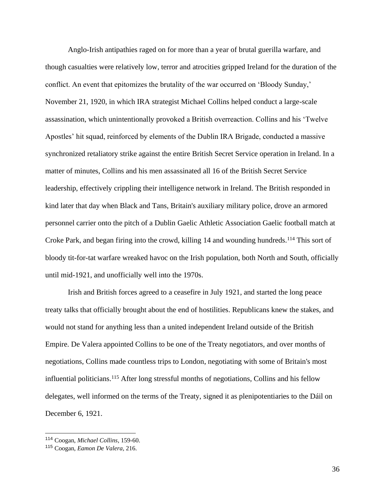Anglo-Irish antipathies raged on for more than a year of brutal guerilla warfare, and though casualties were relatively low, terror and atrocities gripped Ireland for the duration of the conflict. An event that epitomizes the brutality of the war occurred on 'Bloody Sunday,' November 21, 1920, in which IRA strategist Michael Collins helped conduct a large-scale assassination, which unintentionally provoked a British overreaction. Collins and his 'Twelve Apostles' hit squad, reinforced by elements of the Dublin IRA Brigade, conducted a massive synchronized retaliatory strike against the entire British Secret Service operation in Ireland. In a matter of minutes, Collins and his men assassinated all 16 of the British Secret Service leadership, effectively crippling their intelligence network in Ireland. The British responded in kind later that day when Black and Tans, Britain's auxiliary military police, drove an armored personnel carrier onto the pitch of a Dublin Gaelic Athletic Association Gaelic football match at Croke Park, and began firing into the crowd, killing 14 and wounding hundreds.<sup>114</sup> This sort of bloody tit-for-tat warfare wreaked havoc on the Irish population, both North and South, officially until mid-1921, and unofficially well into the 1970s.

Irish and British forces agreed to a ceasefire in July 1921, and started the long peace treaty talks that officially brought about the end of hostilities. Republicans knew the stakes, and would not stand for anything less than a united independent Ireland outside of the British Empire. De Valera appointed Collins to be one of the Treaty negotiators, and over months of negotiations, Collins made countless trips to London, negotiating with some of Britain's most influential politicians.<sup>115</sup> After long stressful months of negotiations, Collins and his fellow delegates, well informed on the terms of the Treaty, signed it as plenipotentiaries to the Dáil on December 6, 1921.

<sup>114</sup> Coogan, *Michael Collins*, 159-60.

<sup>115</sup> Coogan, *Eamon De Valera,* 216.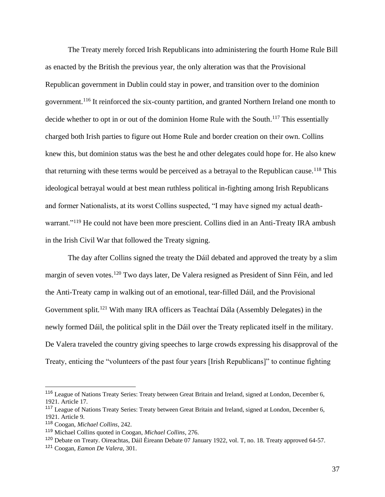The Treaty merely forced Irish Republicans into administering the fourth Home Rule Bill as enacted by the British the previous year, the only alteration was that the Provisional Republican government in Dublin could stay in power, and transition over to the dominion government.<sup>116</sup> It reinforced the six-county partition, and granted Northern Ireland one month to decide whether to opt in or out of the dominion Home Rule with the South.<sup>117</sup> This essentially charged both Irish parties to figure out Home Rule and border creation on their own. Collins knew this, but dominion status was the best he and other delegates could hope for. He also knew that returning with these terms would be perceived as a betrayal to the Republican cause.<sup>118</sup> This ideological betrayal would at best mean ruthless political in-fighting among Irish Republicans and former Nationalists, at its worst Collins suspected, "I may have signed my actual deathwarrant."<sup>119</sup> He could not have been more prescient. Collins died in an Anti-Treaty IRA ambush in the Irish Civil War that followed the Treaty signing.

The day after Collins signed the treaty the Dáil debated and approved the treaty by a slim margin of seven votes.<sup>120</sup> Two days later, De Valera resigned as President of Sinn Féin, and led the Anti-Treaty camp in walking out of an emotional, tear-filled Dáil, and the Provisional Government split.<sup>121</sup> With many IRA officers as Teachtaí Dála (Assembly Delegates) in the newly formed Dáil, the political split in the Dáil over the Treaty replicated itself in the military. De Valera traveled the country giving speeches to large crowds expressing his disapproval of the Treaty, enticing the "volunteers of the past four years [Irish Republicans]" to continue fighting

<sup>116</sup> League of Nations Treaty Series: Treaty between Great Britain and Ireland, signed at London, December 6, 1921. Article 17.

<sup>117</sup> League of Nations Treaty Series: Treaty between Great Britain and Ireland, signed at London, December 6, 1921. Article 9.

<sup>118</sup> Coogan, *Michael Collins*, 242.

<sup>119</sup> Michael Collins quoted in Coogan, *Michael Collins*, 276.

<sup>120</sup> Debate on Treaty. Oireachtas, Dáil Éireann Debate 07 January 1922, vol. T, no. 18. Treaty approved 64-57.

<sup>121</sup> Coogan, *Eamon De Valera,* 301.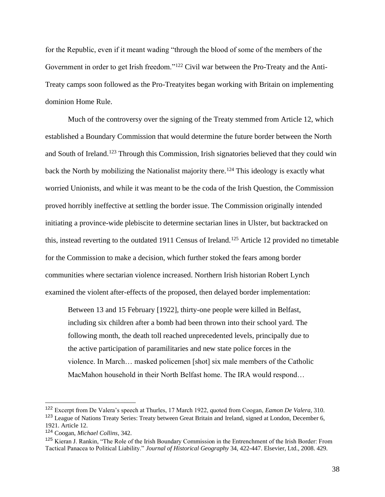for the Republic, even if it meant wading "through the blood of some of the members of the Government in order to get Irish freedom."<sup>122</sup> Civil war between the Pro-Treaty and the Anti-Treaty camps soon followed as the Pro-Treatyites began working with Britain on implementing dominion Home Rule.

Much of the controversy over the signing of the Treaty stemmed from Article 12, which established a Boundary Commission that would determine the future border between the North and South of Ireland.<sup>123</sup> Through this Commission, Irish signatories believed that they could win back the North by mobilizing the Nationalist majority there.<sup>124</sup> This ideology is exactly what worried Unionists, and while it was meant to be the coda of the Irish Question, the Commission proved horribly ineffective at settling the border issue. The Commission originally intended initiating a province-wide plebiscite to determine sectarian lines in Ulster, but backtracked on this, instead reverting to the outdated 1911 Census of Ireland.<sup>125</sup> Article 12 provided no timetable for the Commission to make a decision, which further stoked the fears among border communities where sectarian violence increased. Northern Irish historian Robert Lynch examined the violent after-effects of the proposed, then delayed border implementation:

Between 13 and 15 February [1922], thirty-one people were killed in Belfast, including six children after a bomb had been thrown into their school yard. The following month, the death toll reached unprecedented levels, principally due to the active participation of paramilitaries and new state police forces in the violence. In March… masked policemen [shot] six male members of the Catholic MacMahon household in their North Belfast home. The IRA would respond…

<sup>122</sup> Excerpt from De Valera's speech at Thurles, 17 March 1922, quoted from Coogan, *Eamon De Valera,* 310. <sup>123</sup> League of Nations Treaty Series: Treaty between Great Britain and Ireland, signed at London, December 6, 1921. Article 12.

<sup>124</sup> Coogan, *Michael Collins*, 342.

<sup>125</sup> Kieran J. Rankin, "The Role of the Irish Boundary Commission in the Entrenchment of the Irish Border: From Tactical Panacea to Political Liability." *Journal of Historical Geography* 34, 422-447. Elsevier, Ltd., 2008. 429.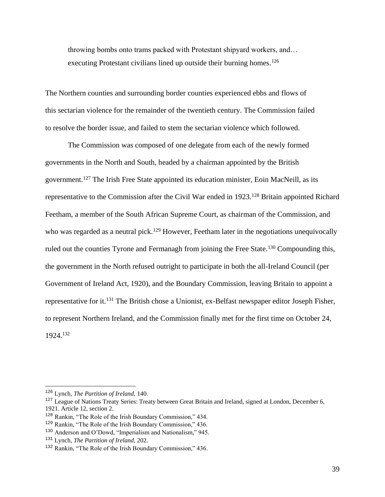throwing bombs onto trams packed with Protestant shipyard workers, and… executing Protestant civilians lined up outside their burning homes.<sup>126</sup>

The Northern counties and surrounding border counties experienced ebbs and flows of this sectarian violence for the remainder of the twentieth century. The Commission failed to resolve the border issue, and failed to stem the sectarian violence which followed.

The Commission was composed of one delegate from each of the newly formed governments in the North and South, headed by a chairman appointed by the British government.<sup>127</sup> The Irish Free State appointed its education minister, Eoin MacNeill, as its representative to the Commission after the Civil War ended in 1923.<sup>128</sup> Britain appointed Richard Feetham, a member of the South African Supreme Court, as chairman of the Commission, and who was regarded as a neutral pick.<sup>129</sup> However, Feetham later in the negotiations unequivocally ruled out the counties Tyrone and Fermanagh from joining the Free State.<sup>130</sup> Compounding this, the government in the North refused outright to participate in both the all-Ireland Council (per Government of Ireland Act, 1920), and the Boundary Commission, leaving Britain to appoint a representative for it.<sup>131</sup> The British chose a Unionist, ex-Belfast newspaper editor Joseph Fisher, to represent Northern Ireland, and the Commission finally met for the first time on October 24, 1924.<sup>132</sup>

<sup>126</sup> Lynch, *The Partition of Ireland,* 140.

<sup>&</sup>lt;sup>127</sup> League of Nations Treaty Series: Treaty between Great Britain and Ireland, signed at London, December 6, 1921. Article 12, section 2.

<sup>&</sup>lt;sup>128</sup> Rankin, "The Role of the Irish Boundary Commission," 434.

<sup>129</sup> Rankin, "The Role of the Irish Boundary Commission," 436.

<sup>130</sup> Anderson and O'Dowd, "Imperialism and Nationalism," 945.

<sup>131</sup> Lynch, *The Partition of Ireland,* 202.

<sup>132</sup> Rankin, "The Role of the Irish Boundary Commission," 436.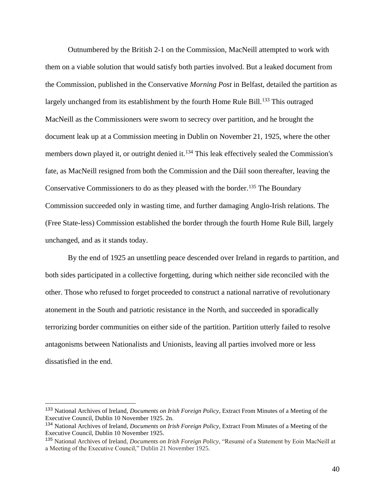Outnumbered by the British 2-1 on the Commission, MacNeill attempted to work with them on a viable solution that would satisfy both parties involved. But a leaked document from the Commission, published in the Conservative *Morning Post* in Belfast, detailed the partition as largely unchanged from its establishment by the fourth Home Rule Bill.<sup>133</sup> This outraged MacNeill as the Commissioners were sworn to secrecy over partition, and he brought the document leak up at a Commission meeting in Dublin on November 21, 1925, where the other members down played it, or outright denied it.<sup>134</sup> This leak effectively sealed the Commission's fate, as MacNeill resigned from both the Commission and the Dáil soon thereafter, leaving the Conservative Commissioners to do as they pleased with the border.<sup>135</sup> The Boundary Commission succeeded only in wasting time, and further damaging Anglo-Irish relations. The (Free State-less) Commission established the border through the fourth Home Rule Bill, largely unchanged, and as it stands today.

By the end of 1925 an unsettling peace descended over Ireland in regards to partition, and both sides participated in a collective forgetting, during which neither side reconciled with the other. Those who refused to forget proceeded to construct a national narrative of revolutionary atonement in the South and patriotic resistance in the North, and succeeded in sporadically terrorizing border communities on either side of the partition. Partition utterly failed to resolve antagonisms between Nationalists and Unionists, leaving all parties involved more or less dissatisfied in the end.

<sup>133</sup> National Archives of Ireland, *Documents on Irish Foreign Policy*, Extract From Minutes of a Meeting of the Executive Council, Dublin 10 November 1925. 2n.

<sup>134</sup> National Archives of Ireland, *Documents on Irish Foreign Policy*, Extract From Minutes of a Meeting of the Executive Council, Dublin 10 November 1925.

<sup>135</sup> National Archives of Ireland, *Documents on Irish Foreign Policy*, "Resumé of a Statement by Eoin MacNeill at a Meeting of the Executive Council," Dublin 21 November 1925.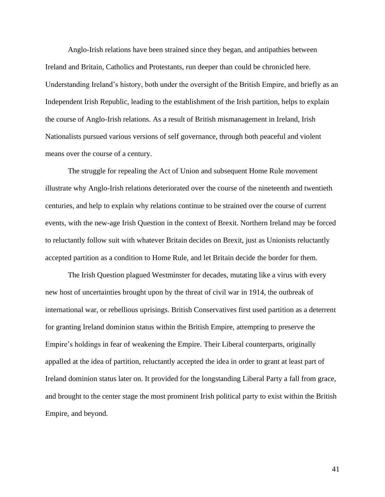Anglo-Irish relations have been strained since they began, and antipathies between Ireland and Britain, Catholics and Protestants, run deeper than could be chronicled here. Understanding Ireland's history, both under the oversight of the British Empire, and briefly as an Independent Irish Republic, leading to the establishment of the Irish partition, helps to explain the course of Anglo-Irish relations. As a result of British mismanagement in Ireland, Irish Nationalists pursued various versions of self governance, through both peaceful and violent means over the course of a century.

The struggle for repealing the Act of Union and subsequent Home Rule movement illustrate why Anglo-Irish relations deteriorated over the course of the nineteenth and twentieth centuries, and help to explain why relations continue to be strained over the course of current events, with the new-age Irish Question in the context of Brexit. Northern Ireland may be forced to reluctantly follow suit with whatever Britain decides on Brexit, just as Unionists reluctantly accepted partition as a condition to Home Rule, and let Britain decide the border for them.

The Irish Question plagued Westminster for decades, mutating like a virus with every new host of uncertainties brought upon by the threat of civil war in 1914, the outbreak of international war, or rebellious uprisings. British Conservatives first used partition as a deterrent for granting Ireland dominion status within the British Empire, attempting to preserve the Empire's holdings in fear of weakening the Empire. Their Liberal counterparts, originally appalled at the idea of partition, reluctantly accepted the idea in order to grant at least part of Ireland dominion status later on. It provided for the longstanding Liberal Party a fall from grace, and brought to the center stage the most prominent Irish political party to exist within the British Empire, and beyond.

41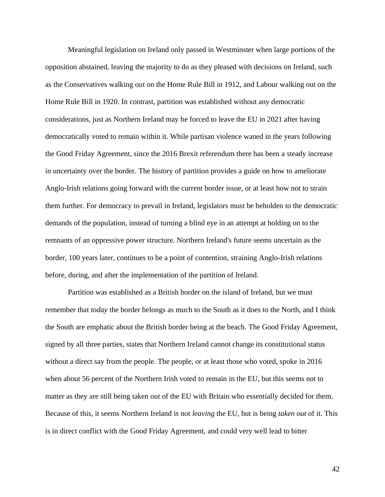Meaningful legislation on Ireland only passed in Westminster when large portions of the opposition abstained, leaving the majority to do as they pleased with decisions on Ireland, such as the Conservatives walking out on the Home Rule Bill in 1912, and Labour walking out on the Home Rule Bill in 1920. In contrast, partition was established without any democratic considerations, just as Northern Ireland may be forced to leave the EU in 2021 after having democratically voted to remain within it. While partisan violence waned in the years following the Good Friday Agreement, since the 2016 Brexit referendum there has been a steady increase in uncertainty over the border. The history of partition provides a guide on how to ameliorate Anglo-Irish relations going forward with the current border issue, or at least how not to strain them further. For democracy to prevail in Ireland, legislators must be beholden to the democratic demands of the population, instead of turning a blind eye in an attempt at holding on to the remnants of an oppressive power structure. Northern Ireland's future seems uncertain as the border, 100 years later, continues to be a point of contention, straining Anglo-Irish relations before, during, and after the implementation of the partition of Ireland.

Partition was established as a British border on the island of Ireland, but we must remember that *today* the border belongs as much to the South as it does to the North, and I think the South are emphatic about the British border being at the beach. The Good Friday Agreement, signed by all three parties, states that Northern Ireland cannot change its constitutional status without a direct say from the people. The people, or at least those who voted, spoke in 2016 when about 56 percent of the Northern Irish voted to remain in the EU, but this seems not to matter as they are still being taken out of the EU with Britain who essentially decided for them. Because of this, it seems Northern Ireland is not *leaving* the EU, but is being *taken out* of it. This is in direct conflict with the Good Friday Agreement, and could very well lead to bitter

42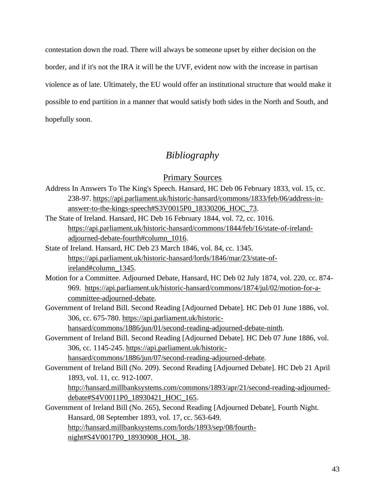contestation down the road. There will always be someone upset by either decision on the border, and if it's not the IRA it will be the UVF, evident now with the increase in partisan violence as of late. Ultimately, the EU would offer an institutional structure that would make it possible to end partition in a manner that would satisfy both sides in the North and South, and hopefully soon.

## *Bibliography*

Primary Sources

- Address In Answers To The King's Speech. Hansard, HC Deb 06 February 1833, vol. 15, cc. 238-97. [https://api.parliament.uk/historic-hansard/commons/1833/feb/06/address-in](https://api.parliament.uk/historic-hansard/commons/1833/feb/06/address-in-answer-to-the-kings-speech#S3V0015P0_18330206_HOC_73)[answer-to-the-kings-speech#S3V0015P0\\_18330206\\_HOC\\_73.](https://api.parliament.uk/historic-hansard/commons/1833/feb/06/address-in-answer-to-the-kings-speech#S3V0015P0_18330206_HOC_73) The State of Ireland. Hansard, HC Deb 16 February 1844, vol. 72, cc. 1016.
- [https://api.parliament.uk/historic-hansard/commons/1844/feb/16/state-of-ireland](https://api.parliament.uk/historic-hansard/commons/1844/feb/16/state-of-ireland-adjourned-debate-fourth#column_1016)[adjourned-debate-fourth#column\\_1016.](https://api.parliament.uk/historic-hansard/commons/1844/feb/16/state-of-ireland-adjourned-debate-fourth#column_1016)
- State of Ireland. Hansard, HC Deb 23 March 1846, vol. 84, cc. 1345. [https://api.parliament.uk/historic-hansard/lords/1846/mar/23/state-of](https://api.parliament.uk/historic-hansard/lords/1846/mar/23/state-of-ireland#column_1345)[ireland#column\\_1345.](https://api.parliament.uk/historic-hansard/lords/1846/mar/23/state-of-ireland#column_1345)
- Motion for a Committee. Adjourned Debate, Hansard, HC Deb 02 July 1874, vol. 220, cc. 874- 969. [https://api.parliament.uk/historic-hansard/commons/1874/jul/02/motion-for-a](https://api.parliament.uk/historic-hansard/commons/1874/jul/02/motion-for-a-committee-adjourned-debate)[committee-adjourned-debate.](https://api.parliament.uk/historic-hansard/commons/1874/jul/02/motion-for-a-committee-adjourned-debate)
- Government of Ireland Bill. Second Reading [Adjourned Debate]. HC Deb 01 June 1886, vol. 306, cc. 675-780. [https://api.parliament.uk/historic-](https://api.parliament.uk/historic-hansard/commons/1886/jun/01/second-reading-adjourned-debate-ninth)

[hansard/commons/1886/jun/01/second-reading-adjourned-debate-ninth.](https://api.parliament.uk/historic-hansard/commons/1886/jun/01/second-reading-adjourned-debate-ninth)

Government of Ireland Bill. Second Reading [Adjourned Debate]. HC Deb 07 June 1886, vol. 306, cc. 1145-245. [https://api.parliament.uk/historic-](https://api.parliament.uk/historic-hansard/commons/1886/jun/07/second-reading-adjourned-debate)

[hansard/commons/1886/jun/07/second-reading-adjourned-debate.](https://api.parliament.uk/historic-hansard/commons/1886/jun/07/second-reading-adjourned-debate)

Government of Ireland Bill (No. 209). Second Reading [Adjourned Debate]. HC Deb 21 April 1893, vol. 11, cc. 912-1007.

[http://hansard.millbanksystems.com/commons/1893/apr/21/second-reading-adjourned](http://hansard.millbanksystems.com/commons/1893/apr/21/second-reading-adjourned-debate#S4V0011P0_18930421_HOC_165)[debate#S4V0011P0\\_18930421\\_HOC\\_165.](http://hansard.millbanksystems.com/commons/1893/apr/21/second-reading-adjourned-debate#S4V0011P0_18930421_HOC_165)

Government of Ireland Bill (No. 265), Second Reading [Adjourned Debate], Fourth Night. Hansard, 08 September 1893, vol. 17, cc. 563-649. [http://hansard.millbanksystems.com/lords/1893/sep/08/fourth](http://hansard.millbanksystems.com/lords/1893/sep/08/fourth-night#S4V0017P0_18930908_HOL_38)[night#S4V0017P0\\_18930908\\_HOL\\_38.](http://hansard.millbanksystems.com/lords/1893/sep/08/fourth-night#S4V0017P0_18930908_HOL_38)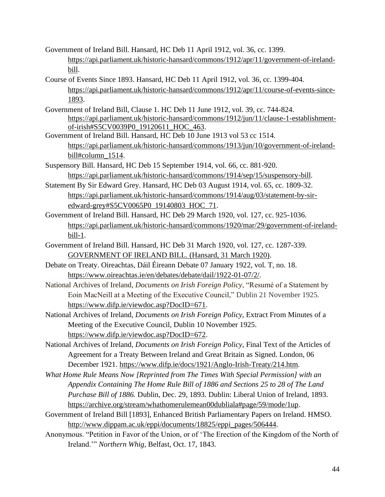Government of Ireland Bill. Hansard, HC Deb 11 April 1912, vol. 36, cc. 1399. [https://api.parliament.uk/historic-hansard/commons/1912/apr/11/government-of-ireland](https://api.parliament.uk/historic-hansard/commons/1912/apr/11/government-of-ireland-bill)[bill.](https://api.parliament.uk/historic-hansard/commons/1912/apr/11/government-of-ireland-bill)

- Course of Events Since 1893. Hansard, HC Deb 11 April 1912, vol. 36, cc. 1399-404. [https://api.parliament.uk/historic-hansard/commons/1912/apr/11/course-of-events-since-](https://api.parliament.uk/historic-hansard/commons/1912/apr/11/course-of-events-since-1893)[1893.](https://api.parliament.uk/historic-hansard/commons/1912/apr/11/course-of-events-since-1893)
- Government of Ireland Bill, Clause 1. HC Deb 11 June 1912, vol. 39, cc. 744-824. [https://api.parliament.uk/historic-hansard/commons/1912/jun/11/clause-1-establishment](https://api.parliament.uk/historic-hansard/commons/1912/jun/11/clause-1-establishment-of-irish#S5CV0039P0_19120611_HOC_463)[of-irish#S5CV0039P0\\_19120611\\_HOC\\_463.](https://api.parliament.uk/historic-hansard/commons/1912/jun/11/clause-1-establishment-of-irish#S5CV0039P0_19120611_HOC_463)
- Government of Ireland Bill. Hansard, HC Deb 10 June 1913 vol 53 cc 1514. [https://api.parliament.uk/historic-hansard/commons/1913/jun/10/government-of-ireland](https://api.parliament.uk/historic-hansard/commons/1913/jun/10/government-of-ireland-bill#column_1514)[bill#column\\_1514.](https://api.parliament.uk/historic-hansard/commons/1913/jun/10/government-of-ireland-bill#column_1514)
- Suspensory Bill. Hansard, HC Deb 15 September 1914, vol. 66, cc. 881-920. [https://api.parliament.uk/historic-hansard/commons/1914/sep/15/suspensory-bill.](https://api.parliament.uk/historic-hansard/commons/1914/sep/15/suspensory-bill)
- Statement By Sir Edward Grey. Hansard, HC Deb 03 August 1914, vol. 65, cc. 1809-32. [https://api.parliament.uk/historic-hansard/commons/1914/aug/03/statement-by-sir](https://api.parliament.uk/historic-hansard/commons/1914/aug/03/statement-by-sir-edward-grey#S5CV0065P0_19140803_HOC_71)[edward-grey#S5CV0065P0\\_19140803\\_HOC\\_71.](https://api.parliament.uk/historic-hansard/commons/1914/aug/03/statement-by-sir-edward-grey#S5CV0065P0_19140803_HOC_71)
- Government of Ireland Bill. Hansard, HC Deb 29 March 1920, vol. 127, cc. 925-1036. [https://api.parliament.uk/historic-hansard/commons/1920/mar/29/government-of-ireland](https://api.parliament.uk/historic-hansard/commons/1920/mar/29/government-of-ireland-bill-1)[bill-1.](https://api.parliament.uk/historic-hansard/commons/1920/mar/29/government-of-ireland-bill-1)
- Government of Ireland Bill. Hansard, HC Deb 31 March 1920, vol. 127, cc. 1287-339. [GOVERNMENT OF IRELAND BILL. \(Hansard, 31 March 1920\).](https://api.parliament.uk/historic-hansard/commons/1920/mar/31/government-of-ireland-bill)
- Debate on Treaty. Oireachtas, Dáil Éireann Debate 07 January 1922, vol. T, no. 18. [https://www.oireachtas.ie/en/debates/debate/dail/1922-01-07/2/.](https://www.oireachtas.ie/en/debates/debate/dail/1922-01-07/2/)
- National Archives of Ireland, *Documents on Irish Foreign Policy*, "Resumé of a Statement by Eoin MacNeill at a Meeting of the Executive Council," Dublin 21 November 1925. [https://www.difp.ie/viewdoc.asp?DocID=671.](https://www.difp.ie/viewdoc.asp?DocID=671)
- National Archives of Ireland, *Documents on Irish Foreign Policy*, Extract From Minutes of a Meeting of the Executive Council, Dublin 10 November 1925. [https://www.difp.ie/viewdoc.asp?DocID=672.](https://www.difp.ie/viewdoc.asp?DocID=672)
- National Archives of Ireland, *Documents on Irish Foreign Policy*, Final Text of the Articles of Agreement for a Treaty Between Ireland and Great Britain as Signed. London, 06 December 1921. [https://www.difp.ie/docs/1921/Anglo-Irish-Treaty/214.htm.](https://www.difp.ie/docs/1921/Anglo-Irish-Treaty/214.htm)
- *What Home Rule Means Now [Reprinted from The Times With Special Permission] with an Appendix Containing The Home Rule Bill of 1886 and Sections 25 to 28 of The Land Purchase Bill of 1886.* Dublin, Dec. 29, 1893*.* Dublin: Liberal Union of Ireland, 1893. [https://archive.org/stream/whathomerulemean00dubliala#page/59/mode/1up.](https://archive.org/stream/whathomerulemean00dubliala#page/59/mode/1up)
- Government of Ireland Bill [1893], Enhanced British Parliamentary Papers on Ireland. HMSO. [http://www.dippam.ac.uk/eppi/documents/18825/eppi\\_pages/506444.](http://www.dippam.ac.uk/eppi/documents/18825/eppi_pages/506444)
- Anonymous. "Petition in Favor of the Union, or of 'The Erection of the Kingdom of the North of Ireland.'" *Northern Whig*, Belfast, Oct. 17, 1843.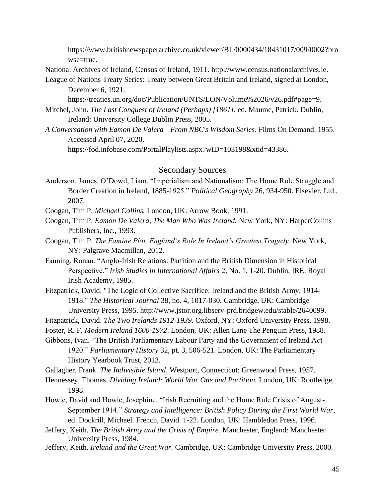[https://www.britishnewspaperarchive.co.uk/viewer/BL/0000434/18431017/009/0002?bro](https://www.britishnewspaperarchive.co.uk/viewer/BL/0000434/18431017/009/0002?browse=true) [wse=true.](https://www.britishnewspaperarchive.co.uk/viewer/BL/0000434/18431017/009/0002?browse=true)

National Archives of Ireland, Census of Ireland, 1911. [http://www.census.nationalarchives.ie.](http://www.census.nationalarchives.ie/search/results.jsp?searchMoreVisible=true&census_year=1911)

League of Nations Treaty Series: Treaty between Great Britain and Ireland, signed at London, December 6, 1921.

[https://treaties.un.org/doc/Publication/UNTS/LON/Volume%2026/v26.pdf#page=9.](https://treaties.un.org/doc/Publication/UNTS/LON/Volume%2026/v26.pdf#page=9)

- Mitchel, John. *The Last Conquest of Ireland (Perhaps) [1861]*, ed. Maume, Patrick. Dublin, Ireland: University College Dublin Press, 2005.
- *A Conversation with Eamon De Valera—From NBC's Wisdom Series*. Films On Demand. 1955. Accessed April 07, 2020.

[https://fod.infobase.com/PortalPlaylists.aspx?wID=103198&xtid=43386.](https://fod.infobase.com/PortalPlaylists.aspx?wID=103198&xtid=43386)

## Secondary Sources

Anderson, James. O'Dowd, Liam. "Imperialism and Nationalism: The Home Rule Struggle and Border Creation in Ireland, 1885-1925." *Political Geography* 26, 934-950. Elsevier, Ltd., 2007.

Coogan, Tim P. *Michael Collins.* London, UK: Arrow Book, 1991.

- Coogan, Tim P. *Eamon De Valera, The Man Who Was Ireland.* New York, NY: HarperCollins Publishers, Inc., 1993.
- Coogan, Tim P. *The Famine Plot, England's Role In Ireland's Greatest Tragedy.* New York, NY: Palgrave Macmillan, 2012.
- Fanning, Ronan. "Anglo-Irish Relations: Partition and the British Dimension in Historical Perspective." *Irish Studies in International Affairs* 2, No. 1, 1-20. Dublin, IRE: Royal Irish Academy, 1985.
- Fitzpatrick, David. "The Logic of Collective Sacrifice: Ireland and the British Army, 1914- 1918." *The Historical Journal* 38, no. 4, 1017-030. Cambridge, UK: Cambridge University Press, 1995. [http://www.jstor.org.libserv-prd.bridgew.edu/stable/2640099.](http://www.jstor.org.libserv-prd.bridgew.edu/stable/2640099)

Fitzpatrick, David. *The Two Irelands 1912-1939.* Oxford, NY: Oxford University Press, 1998.

Foster, R. F. *Modern Ireland 1600-1972*. London, UK: Allen Lane The Penguin Press, 1988.

Gibbons, Ivan. "The British Parliamentary Labour Party and the Government of Ireland Act 1920." *Parliamentary History* 32, pt. 3, 506-521. London, UK: The Parliamentary History Yearbook Trust, 2013.

Gallagher, Frank. *The Indivisible Island*, Westport, Connecticut: Greenwood Press, 1957.

Hennessey, Thomas. *Dividing Ireland: World War One and Partition.* London, UK: Routledge, 1998.

- Howie, David and Howie, Josephine. "Irish Recruiting and the Home Rule Crisis of August-September 1914." *Strategy and Intelligence: British Policy During the First World War*, ed. Dockrill, Michael. French, David. 1-22. London, UK: Hambledon Press, 1996.
- Jeffery, Keith. *The British Army and the Crisis of Empire.* Manchester, England: Manchester University Press, 1984.
- Jeffery, Keith. *Ireland and the Great War.* Cambridge, UK: Cambridge University Press, 2000.